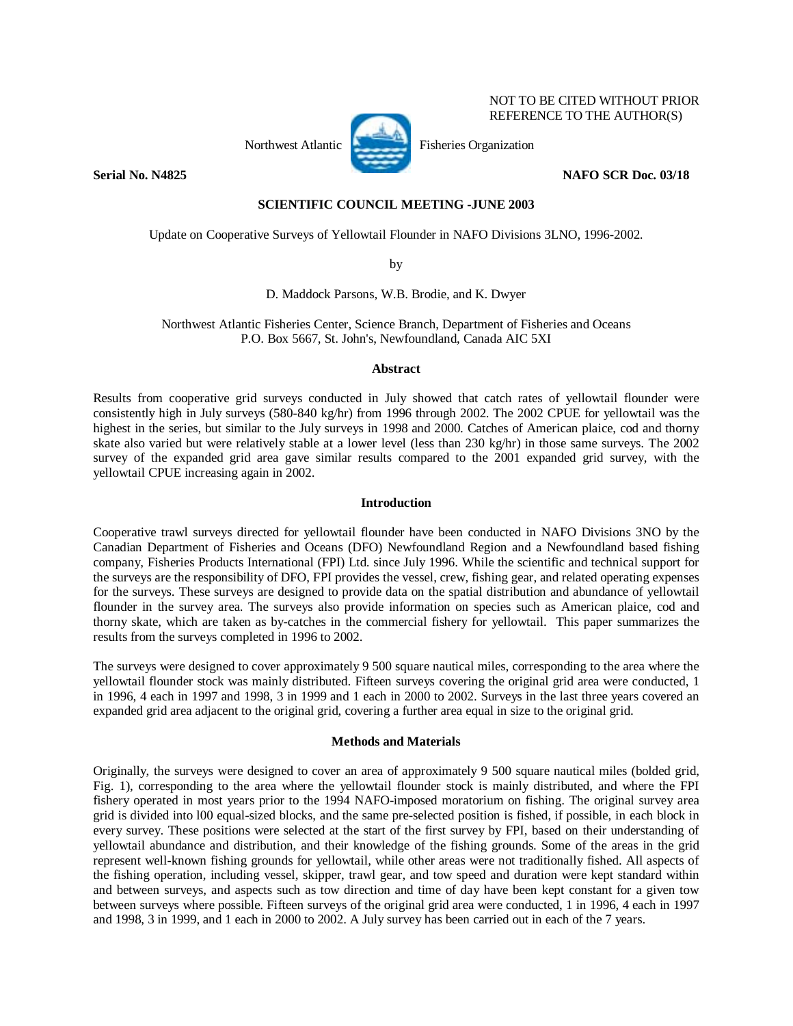

 NOT TO BE CITED WITHOUT PRIOR REFERENCE TO THE AUTHOR(S)

**Serial No. N4825** NAFO SCR Doc. 03/18

# **SCIENTIFIC COUNCIL MEETING -JUNE 2003**

Update on Cooperative Surveys of Yellowtail Flounder in NAFO Divisions 3LNO, 1996-2002.

by

D. Maddock Parsons, W.B. Brodie, and K. Dwyer

Northwest Atlantic Fisheries Center, Science Branch, Department of Fisheries and Oceans P.O. Box 5667, St. John's, Newfoundland, Canada AIC 5XI

## **Abstract**

Results from cooperative grid surveys conducted in July showed that catch rates of yellowtail flounder were consistently high in July surveys (580-840 kg/hr) from 1996 through 2002. The 2002 CPUE for yellowtail was the highest in the series, but similar to the July surveys in 1998 and 2000. Catches of American plaice, cod and thorny skate also varied but were relatively stable at a lower level (less than 230 kg/hr) in those same surveys. The 2002 survey of the expanded grid area gave similar results compared to the 2001 expanded grid survey, with the yellowtail CPUE increasing again in 2002.

# **Introduction**

Cooperative trawl surveys directed for yellowtail flounder have been conducted in NAFO Divisions 3NO by the Canadian Department of Fisheries and Oceans (DFO) Newfoundland Region and a Newfoundland based fishing company, Fisheries Products International (FPI) Ltd. since July 1996. While the scientific and technical support for the surveys are the responsibility of DFO, FPI provides the vessel, crew, fishing gear, and related operating expenses for the surveys. These surveys are designed to provide data on the spatial distribution and abundance of yellowtail flounder in the survey area. The surveys also provide information on species such as American plaice, cod and thorny skate, which are taken as by-catches in the commercial fishery for yellowtail. This paper summarizes the results from the surveys completed in 1996 to 2002.

The surveys were designed to cover approximately 9 500 square nautical miles, corresponding to the area where the yellowtail flounder stock was mainly distributed. Fifteen surveys covering the original grid area were conducted, 1 in 1996, 4 each in 1997 and 1998, 3 in 1999 and 1 each in 2000 to 2002. Surveys in the last three years covered an expanded grid area adjacent to the original grid, covering a further area equal in size to the original grid.

## **Methods and Materials**

Originally, the surveys were designed to cover an area of approximately 9 500 square nautical miles (bolded grid, Fig. 1), corresponding to the area where the yellowtail flounder stock is mainly distributed, and where the FPI fishery operated in most years prior to the 1994 NAFO-imposed moratorium on fishing. The original survey area grid is divided into l00 equal-sized blocks, and the same pre-selected position is fished, if possible, in each block in every survey. These positions were selected at the start of the first survey by FPI, based on their understanding of yellowtail abundance and distribution, and their knowledge of the fishing grounds. Some of the areas in the grid represent well-known fishing grounds for yellowtail, while other areas were not traditionally fished. All aspects of the fishing operation, including vessel, skipper, trawl gear, and tow speed and duration were kept standard within and between surveys, and aspects such as tow direction and time of day have been kept constant for a given tow between surveys where possible. Fifteen surveys of the original grid area were conducted, 1 in 1996, 4 each in 1997 and 1998, 3 in 1999, and 1 each in 2000 to 2002. A July survey has been carried out in each of the 7 years.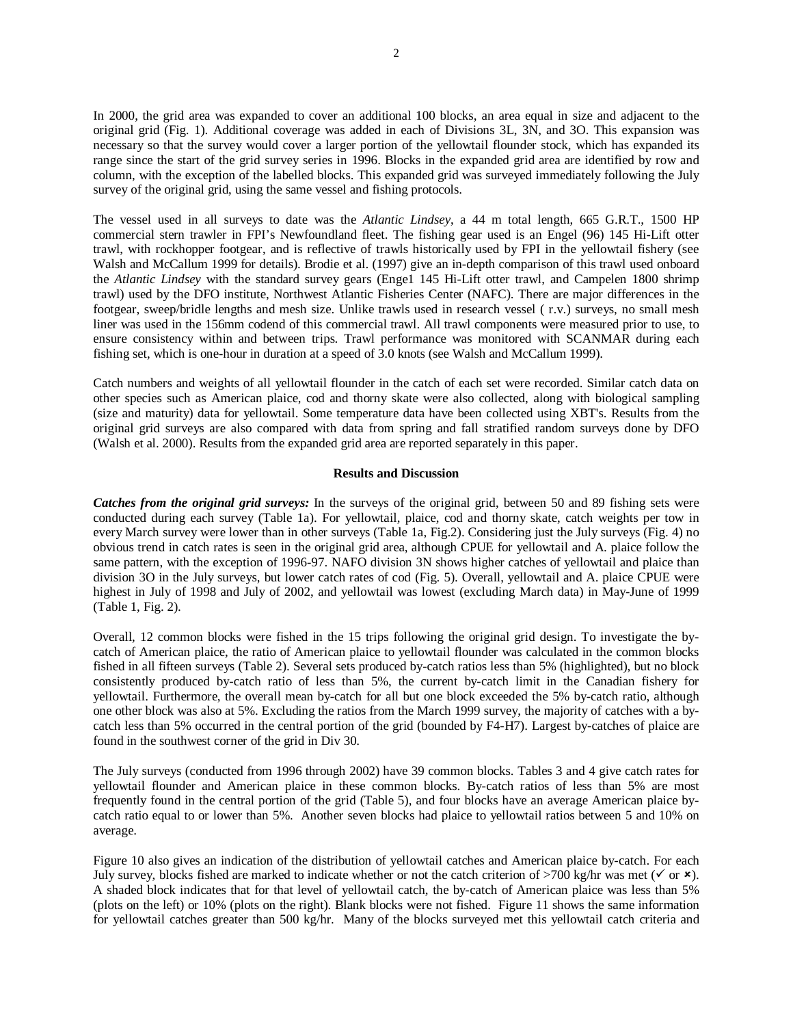In 2000, the grid area was expanded to cover an additional 100 blocks, an area equal in size and adjacent to the original grid (Fig. 1). Additional coverage was added in each of Divisions 3L, 3N, and 3O. This expansion was necessary so that the survey would cover a larger portion of the yellowtail flounder stock, which has expanded its range since the start of the grid survey series in 1996. Blocks in the expanded grid area are identified by row and column, with the exception of the labelled blocks. This expanded grid was surveyed immediately following the July survey of the original grid, using the same vessel and fishing protocols.

The vessel used in all surveys to date was the *Atlantic Lindsey*, a 44 m total length, 665 G.R.T., 1500 HP commercial stern trawler in FPI's Newfoundland fleet. The fishing gear used is an Engel (96) 145 Hi-Lift otter trawl, with rockhopper footgear, and is reflective of trawls historically used by FPI in the yellowtail fishery (see Walsh and McCallum 1999 for details). Brodie et al. (1997) give an in-depth comparison of this trawl used onboard the *Atlantic Lindsey* with the standard survey gears (Enge1 145 Hi-Lift otter trawl, and Campelen 1800 shrimp trawl) used by the DFO institute, Northwest Atlantic Fisheries Center (NAFC). There are major differences in the footgear, sweep/bridle lengths and mesh size. Unlike trawls used in research vessel ( r.v.) surveys, no small mesh liner was used in the 156mm codend of this commercial trawl. All trawl components were measured prior to use, to ensure consistency within and between trips. Trawl performance was monitored with SCANMAR during each fishing set, which is one-hour in duration at a speed of 3.0 knots (see Walsh and McCallum 1999).

Catch numbers and weights of all yellowtail flounder in the catch of each set were recorded. Similar catch data on other species such as American plaice, cod and thorny skate were also collected, along with biological sampling (size and maturity) data for yellowtail. Some temperature data have been collected using XBT's. Results from the original grid surveys are also compared with data from spring and fall stratified random surveys done by DFO (Walsh et al. 2000). Results from the expanded grid area are reported separately in this paper.

### **Results and Discussion**

*Catches from the original grid surveys:* In the surveys of the original grid, between 50 and 89 fishing sets were conducted during each survey (Table 1a). For yellowtail, plaice, cod and thorny skate, catch weights per tow in every March survey were lower than in other surveys (Table 1a, Fig.2). Considering just the July surveys (Fig. 4) no obvious trend in catch rates is seen in the original grid area, although CPUE for yellowtail and A. plaice follow the same pattern, with the exception of 1996-97. NAFO division 3N shows higher catches of yellowtail and plaice than division 3O in the July surveys, but lower catch rates of cod (Fig. 5). Overall, yellowtail and A. plaice CPUE were highest in July of 1998 and July of 2002, and yellowtail was lowest (excluding March data) in May-June of 1999 (Table 1, Fig. 2).

Overall, 12 common blocks were fished in the 15 trips following the original grid design. To investigate the bycatch of American plaice, the ratio of American plaice to yellowtail flounder was calculated in the common blocks fished in all fifteen surveys (Table 2). Several sets produced by-catch ratios less than 5% (highlighted), but no block consistently produced by-catch ratio of less than 5%, the current by-catch limit in the Canadian fishery for yellowtail. Furthermore, the overall mean by-catch for all but one block exceeded the 5% by-catch ratio, although one other block was also at 5%. Excluding the ratios from the March 1999 survey, the majority of catches with a bycatch less than 5% occurred in the central portion of the grid (bounded by F4-H7). Largest by-catches of plaice are found in the southwest corner of the grid in Div 30.

The July surveys (conducted from 1996 through 2002) have 39 common blocks. Tables 3 and 4 give catch rates for yellowtail flounder and American plaice in these common blocks. By-catch ratios of less than 5% are most frequently found in the central portion of the grid (Table 5), and four blocks have an average American plaice bycatch ratio equal to or lower than 5%. Another seven blocks had plaice to yellowtail ratios between 5 and 10% on average.

Figure 10 also gives an indication of the distribution of yellowtail catches and American plaice by-catch. For each July survey, blocks fished are marked to indicate whether or not the catch criterion of >700 kg/hr was met ( $\checkmark$  or  $\checkmark$ ). A shaded block indicates that for that level of yellowtail catch, the by-catch of American plaice was less than 5% (plots on the left) or 10% (plots on the right). Blank blocks were not fished. Figure 11 shows the same information for yellowtail catches greater than 500 kg/hr. Many of the blocks surveyed met this yellowtail catch criteria and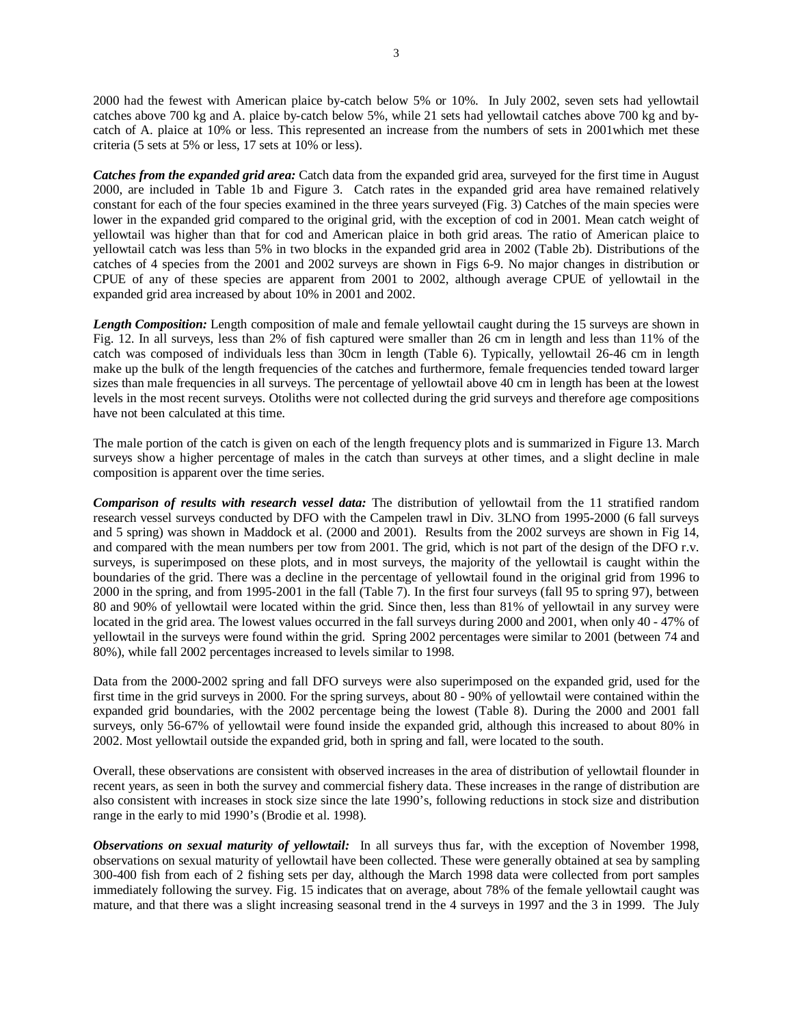2000 had the fewest with American plaice by-catch below 5% or 10%. In July 2002, seven sets had yellowtail catches above 700 kg and A. plaice by-catch below 5%, while 21 sets had yellowtail catches above 700 kg and bycatch of A. plaice at 10% or less. This represented an increase from the numbers of sets in 2001which met these criteria (5 sets at 5% or less, 17 sets at 10% or less).

*Catches from the expanded grid area:* Catch data from the expanded grid area, surveyed for the first time in August 2000, are included in Table 1b and Figure 3. Catch rates in the expanded grid area have remained relatively constant for each of the four species examined in the three years surveyed (Fig. 3) Catches of the main species were lower in the expanded grid compared to the original grid, with the exception of cod in 2001. Mean catch weight of yellowtail was higher than that for cod and American plaice in both grid areas. The ratio of American plaice to yellowtail catch was less than 5% in two blocks in the expanded grid area in 2002 (Table 2b). Distributions of the catches of 4 species from the 2001 and 2002 surveys are shown in Figs 6-9. No major changes in distribution or CPUE of any of these species are apparent from 2001 to 2002, although average CPUE of yellowtail in the expanded grid area increased by about 10% in 2001 and 2002.

*Length Composition:* Length composition of male and female yellowtail caught during the 15 surveys are shown in Fig. 12. In all surveys, less than 2% of fish captured were smaller than 26 cm in length and less than 11% of the catch was composed of individuals less than 30cm in length (Table 6). Typically, yellowtail 26-46 cm in length make up the bulk of the length frequencies of the catches and furthermore, female frequencies tended toward larger sizes than male frequencies in all surveys. The percentage of yellowtail above 40 cm in length has been at the lowest levels in the most recent surveys. Otoliths were not collected during the grid surveys and therefore age compositions have not been calculated at this time.

The male portion of the catch is given on each of the length frequency plots and is summarized in Figure 13. March surveys show a higher percentage of males in the catch than surveys at other times, and a slight decline in male composition is apparent over the time series.

*Comparison of results with research vessel data:* The distribution of yellowtail from the 11 stratified random research vessel surveys conducted by DFO with the Campelen trawl in Div. 3LNO from 1995-2000 (6 fall surveys and 5 spring) was shown in Maddock et al. (2000 and 2001). Results from the 2002 surveys are shown in Fig 14, and compared with the mean numbers per tow from 2001. The grid, which is not part of the design of the DFO r.v. surveys, is superimposed on these plots, and in most surveys, the majority of the yellowtail is caught within the boundaries of the grid. There was a decline in the percentage of yellowtail found in the original grid from 1996 to 2000 in the spring, and from 1995-2001 in the fall (Table 7). In the first four surveys (fall 95 to spring 97), between 80 and 90% of yellowtail were located within the grid. Since then, less than 81% of yellowtail in any survey were located in the grid area. The lowest values occurred in the fall surveys during 2000 and 2001, when only 40 - 47% of yellowtail in the surveys were found within the grid. Spring 2002 percentages were similar to 2001 (between 74 and 80%), while fall 2002 percentages increased to levels similar to 1998.

Data from the 2000-2002 spring and fall DFO surveys were also superimposed on the expanded grid, used for the first time in the grid surveys in 2000. For the spring surveys, about 80 - 90% of yellowtail were contained within the expanded grid boundaries, with the 2002 percentage being the lowest (Table 8). During the 2000 and 2001 fall surveys, only 56-67% of yellowtail were found inside the expanded grid, although this increased to about 80% in 2002. Most yellowtail outside the expanded grid, both in spring and fall, were located to the south.

Overall, these observations are consistent with observed increases in the area of distribution of yellowtail flounder in recent years, as seen in both the survey and commercial fishery data. These increases in the range of distribution are also consistent with increases in stock size since the late 1990's, following reductions in stock size and distribution range in the early to mid 1990's (Brodie et al. 1998).

*Observations on sexual maturity of yellowtail:* In all surveys thus far, with the exception of November 1998, observations on sexual maturity of yellowtail have been collected. These were generally obtained at sea by sampling 300-400 fish from each of 2 fishing sets per day, although the March 1998 data were collected from port samples immediately following the survey. Fig. 15 indicates that on average, about 78% of the female yellowtail caught was mature, and that there was a slight increasing seasonal trend in the 4 surveys in 1997 and the 3 in 1999. The July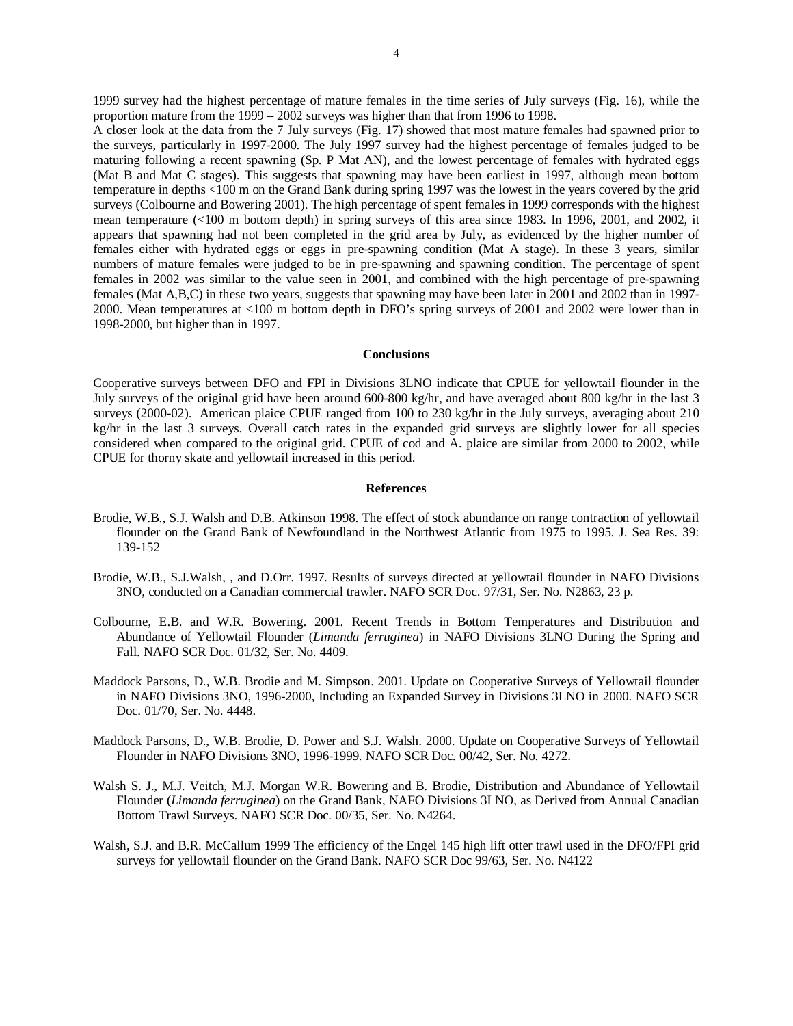1999 survey had the highest percentage of mature females in the time series of July surveys (Fig. 16), while the proportion mature from the 1999 – 2002 surveys was higher than that from 1996 to 1998.

A closer look at the data from the 7 July surveys (Fig. 17) showed that most mature females had spawned prior to the surveys, particularly in 1997-2000. The July 1997 survey had the highest percentage of females judged to be maturing following a recent spawning (Sp. P Mat AN), and the lowest percentage of females with hydrated eggs (Mat B and Mat C stages). This suggests that spawning may have been earliest in 1997, although mean bottom temperature in depths <100 m on the Grand Bank during spring 1997 was the lowest in the years covered by the grid surveys (Colbourne and Bowering 2001). The high percentage of spent females in 1999 corresponds with the highest mean temperature (<100 m bottom depth) in spring surveys of this area since 1983. In 1996, 2001, and 2002, it appears that spawning had not been completed in the grid area by July, as evidenced by the higher number of females either with hydrated eggs or eggs in pre-spawning condition (Mat A stage). In these 3 years, similar numbers of mature females were judged to be in pre-spawning and spawning condition. The percentage of spent females in 2002 was similar to the value seen in 2001, and combined with the high percentage of pre-spawning females (Mat A,B,C) in these two years, suggests that spawning may have been later in 2001 and 2002 than in 1997- 2000. Mean temperatures at <100 m bottom depth in DFO's spring surveys of 2001 and 2002 were lower than in 1998-2000, but higher than in 1997.

### **Conclusions**

Cooperative surveys between DFO and FPI in Divisions 3LNO indicate that CPUE for yellowtail flounder in the July surveys of the original grid have been around 600-800 kg/hr, and have averaged about 800 kg/hr in the last 3 surveys (2000-02). American plaice CPUE ranged from 100 to 230 kg/hr in the July surveys, averaging about 210 kg/hr in the last 3 surveys. Overall catch rates in the expanded grid surveys are slightly lower for all species considered when compared to the original grid. CPUE of cod and A. plaice are similar from 2000 to 2002, while CPUE for thorny skate and yellowtail increased in this period.

### **References**

- Brodie, W.B., S.J. Walsh and D.B. Atkinson 1998. The effect of stock abundance on range contraction of yellowtail flounder on the Grand Bank of Newfoundland in the Northwest Atlantic from 1975 to 1995. J. Sea Res. 39: 139-152
- Brodie, W.B., S.J.Walsh, , and D.Orr. 1997. Results of surveys directed at yellowtail flounder in NAFO Divisions 3NO, conducted on a Canadian commercial trawler. NAFO SCR Doc. 97/31, Ser. No. N2863, 23 p.
- Colbourne, E.B. and W.R. Bowering. 2001. Recent Trends in Bottom Temperatures and Distribution and Abundance of Yellowtail Flounder (*Limanda ferruginea*) in NAFO Divisions 3LNO During the Spring and Fall. NAFO SCR Doc. 01/32, Ser. No. 4409.
- Maddock Parsons, D., W.B. Brodie and M. Simpson. 2001. Update on Cooperative Surveys of Yellowtail flounder in NAFO Divisions 3NO, 1996-2000, Including an Expanded Survey in Divisions 3LNO in 2000. NAFO SCR Doc. 01/70, Ser. No. 4448.
- Maddock Parsons, D., W.B. Brodie, D. Power and S.J. Walsh. 2000. Update on Cooperative Surveys of Yellowtail Flounder in NAFO Divisions 3NO, 1996-1999. NAFO SCR Doc. 00/42, Ser. No. 4272.
- Walsh S. J., M.J. Veitch, M.J. Morgan W.R. Bowering and B. Brodie, Distribution and Abundance of Yellowtail Flounder (*Limanda ferruginea*) on the Grand Bank, NAFO Divisions 3LNO, as Derived from Annual Canadian Bottom Trawl Surveys. NAFO SCR Doc. 00/35, Ser. No. N4264.
- Walsh, S.J. and B.R. McCallum 1999 The efficiency of the Engel 145 high lift otter trawl used in the DFO/FPI grid surveys for yellowtail flounder on the Grand Bank. NAFO SCR Doc 99/63, Ser. No. N4122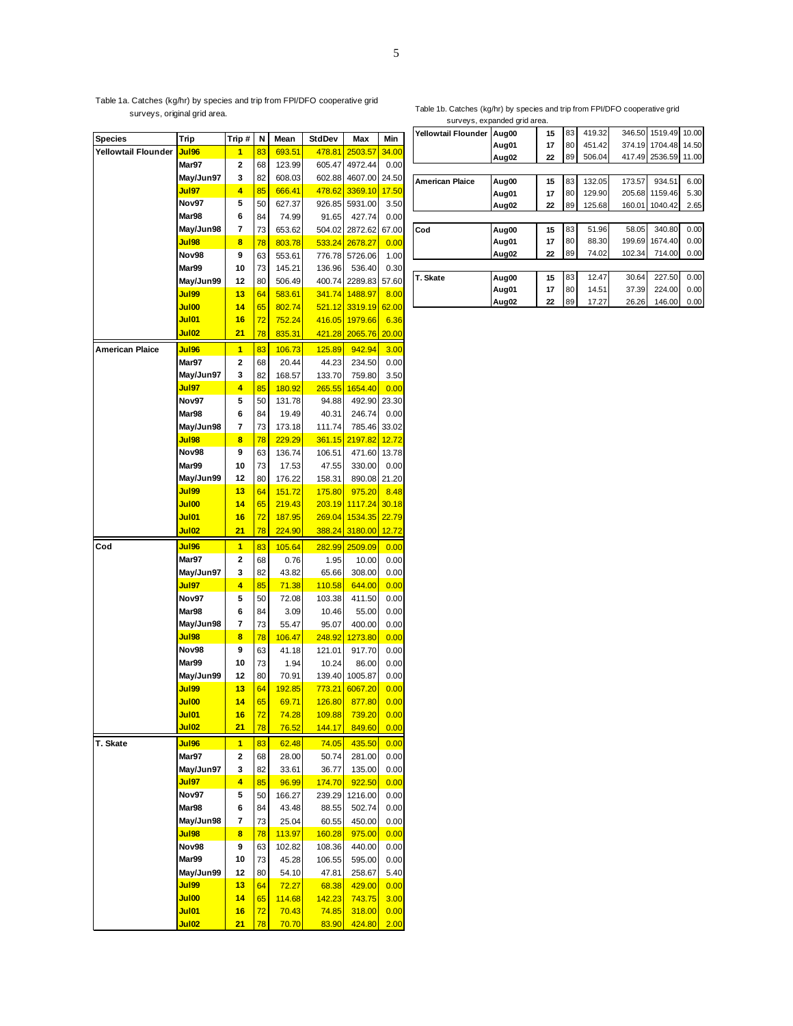Table 1a. Catches (kg/hr) by species and trip from FPI/DFO cooperative grid surveys, original grid area.

#### Table 1b. Catches (kg/hr) by species and trip from FPI/DFO cooperative grid surveys, expanding area.<br>Surveys of the grid area of

|                        |              |        | Ν         |        | StdDev |                |             |
|------------------------|--------------|--------|-----------|--------|--------|----------------|-------------|
| <b>Species</b>         | Trip         | Trip # |           | Mean   |        | Max            | Min         |
| Yellowtail Flounder    | Jul96        | 1      | 83        | 693.51 | 478.81 | 2503.57        | 34.00       |
|                        | Mar97        | 2      | 68        | 123.99 | 605.47 | 4972.44        | 0.00        |
|                        | May/Jun97    | 3      | 82        | 608.03 | 602.88 | 4607.00        | 24.50       |
|                        | Jul97        | 4      | 85        | 666.41 | 478.62 | 3369.10        | 17.50       |
|                        | Nov97        | 5      | 50        | 627.37 | 926.85 | 5931.00        | 3.50        |
|                        | Mar98        | 6      | 84        | 74.99  | 91.65  | 427.74         | 0.00        |
|                        | May/Jun98    | 7      | 73        | 653.62 | 504.02 | 2872.62        | 67.00       |
|                        | Jul98        | 8      | 78        | 803.78 | 533.24 | 2678.27        | 0.00        |
|                        | Nov98        | 9      | 63        | 553.61 | 776.78 | 5726.06        | 1.00        |
|                        | Mar99        | 10     | 73        | 145.21 | 136.96 | 536.40         | 0.30        |
|                        | May/Jun99    | 12     | 80        | 506.49 | 400.74 | 2289.83        | 57.60       |
|                        | Jul99        | 13     | 64        | 583.61 | 341.74 | 1488.97        | 8.00        |
|                        | Jul00        | 14     | 65        | 802.74 | 521.12 | 3319.19        | 62.00       |
|                        | Jul01        | 16     | 72        | 752.24 | 416.05 | 1979.66        | 6.36        |
|                        | Jul02        | 21     | 78        | 835.31 | 421.28 | 2065.76        | 20.00       |
| <b>American Plaice</b> | Jul96        | 1      | 83        | 106.73 | 125.89 | 942.94         | 3.00        |
|                        | Mar97        | 2      | 68        | 20.44  | 44.23  | 234.50         | 0.00        |
|                        | May/Jun97    | 3      | 82        | 168.57 | 133.70 | 759.80         | 3.50        |
|                        | Jul97        | 4      | 85        | 180.92 | 265.55 | 1654.40        | 0.00        |
|                        | Nov97        | 5      | 50        | 131.78 | 94.88  | 492.90         | 23.30       |
|                        | Mar98        | 6      | 84        | 19.49  | 40.31  | 246.74         | 0.00        |
|                        | May/Jun98    | 7      |           |        |        |                |             |
|                        |              |        | 73        | 173.18 | 111.74 | 785.46         | 33.02       |
|                        | Jul98        | 8      | 78        | 229.29 | 361.15 | 2197.82        | 12.72       |
|                        | Nov98        | 9      | 63        | 136.74 | 106.51 | 471.60         | 13.78       |
|                        | Mar99        | 10     | 73        | 17.53  | 47.55  | 330.00         | 0.00        |
|                        | May/Jun99    | 12     | 80        | 176.22 | 158.31 | 890.08         | 21.20       |
|                        | Jul99        | 13     | 64        | 151.72 | 175.80 | 975.20         | 8.48        |
|                        | Jul00        | 14     | 65        | 219.43 | 203.19 | 1117.24        | 30.18       |
|                        | Jul01        | 16     | 72        | 187.95 | 269.04 | 1534.35        | 22.79       |
|                        | Jul02        | 21     | 78        | 224.90 | 388.24 | 3180.00        | 12.72       |
| Cod                    | <b>Jul96</b> | 1      | 83        | 105.64 |        | 282.99 2509.09 | 0.00        |
|                        | Mar97        | 2      | 68        | 0.76   | 1.95   | 10.00          | 0.00        |
|                        | May/Jun97    | 3      | 82        | 43.82  | 65.66  | 308.00         | 0.00        |
|                        | Jul97        | 4      | 85        | 71.38  | 110.58 | 644.00         | 0.00        |
|                        | Nov97        | 5      | 50        | 72.08  | 103.38 | 411.50         | 0.00        |
|                        | Mar98        | 6      | 84        | 3.09   | 10.46  | 55.00          | 0.00        |
|                        | May/Jun98    | 7      | 73        | 55.47  | 95.07  | 400.00         | 0.00        |
|                        | Jul98        | 8      | 78        | 106.47 | 248.92 | 1273.80        | 0.00        |
|                        | Nov98        | 9      | 63        | 41.18  | 121.01 | 917.70         | 0.00        |
|                        | Mar99        | 10     | 73        | 1.94   | 10.24  | 86.00          | 0.00        |
|                        | May/Jun99    | 12     | 80        | 70.91  | 139.40 | 1005.87        | 0.00        |
|                        | Jul99        | 13     | 64        | 192.85 | 773.21 | 6067.20        | 0.00        |
|                        | Jul00        | 14     | 65        | 69.71  | 126.80 | 877.80         | 0.00        |
|                        | Jul01        | 16     | <u>72</u> | 74.28  | 109.88 | 739.20         | 0.00        |
|                        | Jul02        | 21     | 78        | 76.52  | 144.17 | 849.60         | 0.00        |
| T. Skate               | <b>Jul96</b> | 1      | 83        | 62.48  | 74.05  | 435.50         | 0.00        |
|                        | Mar97        | 2      | 68        | 28.00  | 50.74  | 281.00         | 0.00        |
|                        | May/Jun97    | 3      | 82        | 33.61  | 36.77  | 135.00         | 0.00        |
|                        | Jul97        | 4      | 85        | 96.99  | 174.70 | 922.50         | 0.00        |
|                        | Nov97        | 5      | 50        | 166.27 | 239.29 | 1216.00        | 0.00        |
|                        | Mar98        | 6      | 84        | 43.48  | 88.55  | 502.74         | 0.00        |
|                        | May/Jun98    | 7      | 73        | 25.04  | 60.55  | 450.00         | 0.00        |
|                        | Jul98        | 8      | 78        | 113.97 | 160.28 | 975.00         | 0.00        |
|                        | Nov98        | 9      |           |        |        |                |             |
|                        | Mar99        |        | 63        | 102.82 | 108.36 | 440.00         | 0.00        |
|                        |              | 10     | 73        | 45.28  | 106.55 | 595.00         | 0.00        |
|                        | May/Jun99    | 12     | 80        | 54.10  | 47.81  | 258.67         | 5.40        |
|                        | Jul99        | 13     | 64        | 72.27  | 68.38  | 429.00         | 0.00        |
|                        | Jul00        | 14     | 65        | 114.68 | 142.23 | 743.75         | 3.00        |
|                        | Jul01        | 16     | 72        | 70.43  | 74.85  | 318.00         | 0.00        |
|                        | Jul02        | 21     | 78        | 70.70  | 83.90  | 424.80         | <u>2.00</u> |

|                           | surveys, expanged gnd area. |    |    |        |        |         |       |
|---------------------------|-----------------------------|----|----|--------|--------|---------|-------|
| Yellowtail Flounder Aug00 |                             | 15 | 83 | 419.32 | 346.50 | 1519.49 | 10.00 |
|                           | Aug01                       | 17 | 80 | 451.42 | 374.19 | 1704.48 | 14.50 |
|                           | Aug02                       | 22 | 89 | 506.04 | 417.49 | 2536.59 | 11.00 |
|                           |                             |    |    |        |        |         |       |
| <b>American Plaice</b>    | Aug00                       | 15 | 83 | 132.05 | 173.57 | 934.51  | 6.00  |
|                           | Aug01                       | 17 | 80 | 129.90 | 205.68 | 1159.46 | 5.30  |
|                           | Aug02                       | 22 | 89 | 125.68 | 160.01 | 1040.42 | 2.65  |
|                           |                             |    |    |        |        |         |       |
| Cod                       | Aug00                       | 15 | 83 | 51.96  | 58.05  | 340.80  | 0.00  |
|                           | Aug01                       | 17 | 80 | 88.30  | 199.69 | 1674.40 | 0.00  |
|                           | Aug02                       | 22 | 89 | 74.02  | 102.34 | 714.00  | 0.00  |
|                           |                             |    |    |        |        |         |       |
| T. Skate                  | Aug00                       | 15 | 83 | 12.47  | 30.64  | 227.50  | 0.00  |
|                           | Aug01                       | 17 | 80 | 14.51  | 37.39  | 224.00  | 0.00  |
|                           | Aug02                       | 22 | 89 | 17.27  | 26.26  | 146.00  | 0.00  |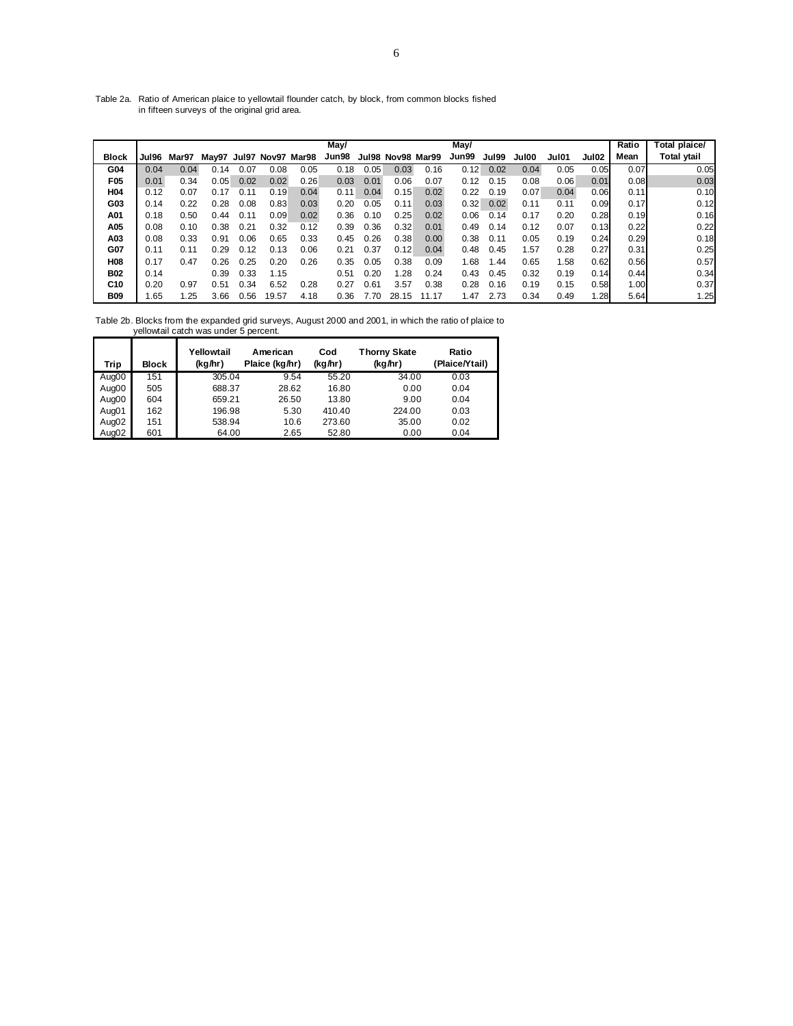Table 2a. Ratio of American plaice to yellowtail flounder catch, by block, from common blocks fished in fifteen surveys of the original grid area.

|                 |       |       |                         |      |       |      | May/  |      |                   |       | May/  |       |       |       |                   | Ratio | Total plaice/      |
|-----------------|-------|-------|-------------------------|------|-------|------|-------|------|-------------------|-------|-------|-------|-------|-------|-------------------|-------|--------------------|
| Block           | Jul96 | Mar97 | May97 Jul97 Nov97 Mar98 |      |       |      | Jun98 |      | Jul98 Nov98 Mar99 |       | Jun99 | Jul99 | Jul00 | Jul01 | Jul <sub>02</sub> | Mean  | <b>Total ytail</b> |
| G04             | 0.04  | 0.04  | 0.14                    | 0.07 | 0.08  | 0.05 | 0.18  | 0.05 | 0.03              | 0.16  | 0.12  | 0.02  | 0.04  | 0.05  | 0.05              | 0.07  | 0.05               |
| F05             | 0.01  | 0.34  | 0.05                    | 0.02 | 0.02  | 0.26 | 0.03  | 0.01 | 0.06              | 0.07  | 0.12  | 0.15  | 0.08  | 0.06  | 0.01              | 0.08  | 0.03               |
| H04             | 0.12  | 0.07  | 0.17                    | 0.11 | 0.19  | 0.04 | 0.11  | 0.04 | 0.15              | 0.02  | 0.22  | 0.19  | 0.07  | 0.04  | 0.06              | 0.11  | 0.10               |
| G03             | 0.14  | 0.22  | 0.28                    | 0.08 | 0.83  | 0.03 | 0.20  | 0.05 | 0.11              | 0.03  | 0.32  | 0.02  | 0.11  | 0.11  | 0.09              | 0.17  | 0.12               |
| A01             | 0.18  | 0.50  | 0.44                    | 0.11 | 0.09  | 0.02 | 0.36  | 0.10 | 0.25              | 0.02  | 0.06  | 0.14  | 0.17  | 0.20  | 0.28              | 0.19  | 0.16               |
| A05             | 0.08  | 0.10  | 0.38                    | 0.21 | 0.32  | 0.12 | 0.39  | 0.36 | 0.32              | 0.01  | 0.49  | 0.14  | 0.12  | 0.07  | 0.13              | 0.22  | 0.22               |
| A03             | 0.08  | 0.33  | 0.91                    | 0.06 | 0.65  | 0.33 | 0.45  | 0.26 | 0.38              | 0.00  | 0.38  | 0.11  | 0.05  | 0.19  | 0.24              | 0.29  | 0.18               |
| G07             | 0.11  | 0.11  | 0.29                    | 0.12 | 0.13  | 0.06 | 0.21  | 0.37 | 0.12              | 0.04  | 0.48  | 0.45  | 1.57  | 0.28  | 0.27              | 0.31  | 0.25               |
| H08             | 0.17  | 0.47  | 0.26                    | 0.25 | 0.20  | 0.26 | 0.35  | 0.05 | 0.38              | 0.09  | 1.68  | 1.44  | 0.65  | 1.58  | 0.62              | 0.56  | 0.57               |
| <b>B02</b>      | 0.14  |       | 0.39                    | 0.33 | 1.15  |      | 0.51  | 0.20 | 1.28              | 0.24  | 0.43  | 0.45  | 0.32  | 0.19  | 0.14              | 0.44  | 0.34               |
| C <sub>10</sub> | 0.20  | 0.97  | 0.51                    | 0.34 | 6.52  | 0.28 | 0.27  | 0.61 | 3.57              | 0.38  | 0.28  | 0.16  | 0.19  | 0.15  | 0.58              | 1.00  | 0.37               |
| <b>B09</b>      | 1.65  | 1.25  | 3.66                    | 0.56 | 19.57 | 4.18 | 0.36  | 7.70 | 28.15             | 11.17 | 1.47  | 2.73  | 0.34  | 0.49  | 1.28              | 5.64  | 1.25               |

Table 2b. Blocks from the expanded grid surveys, August 2000 and 2001, in which the ratio of plaice to yellowtail catch was under 5 percent.

| Trip  | <b>Block</b> | Yellowtail<br>(kg/hr) | American<br>Plaice (kg/hr) | Cod<br>(kg/hr) | <b>Thorny Skate</b><br>(kg/hr) | Ratio<br>(Plaice/Ytail) |
|-------|--------------|-----------------------|----------------------------|----------------|--------------------------------|-------------------------|
| Aug00 | 151          | 305.04                | 9.54                       | 55.20          | 34.00                          | 0.03                    |
| Aug00 | 505          | 688.37                | 28.62                      | 16.80          | 0.00                           | 0.04                    |
| Aug00 | 604          | 659.21                | 26.50                      | 13.80          | 9.00                           | 0.04                    |
| Aug01 | 162          | 196.98                | 5.30                       | 410.40         | 224.00                         | 0.03                    |
| Aug02 | 151          | 538.94                | 10.6                       | 273.60         | 35.00                          | 0.02                    |
| Aug02 | 601          | 64.00                 | 2.65                       | 52.80          | 0.00                           | 0.04                    |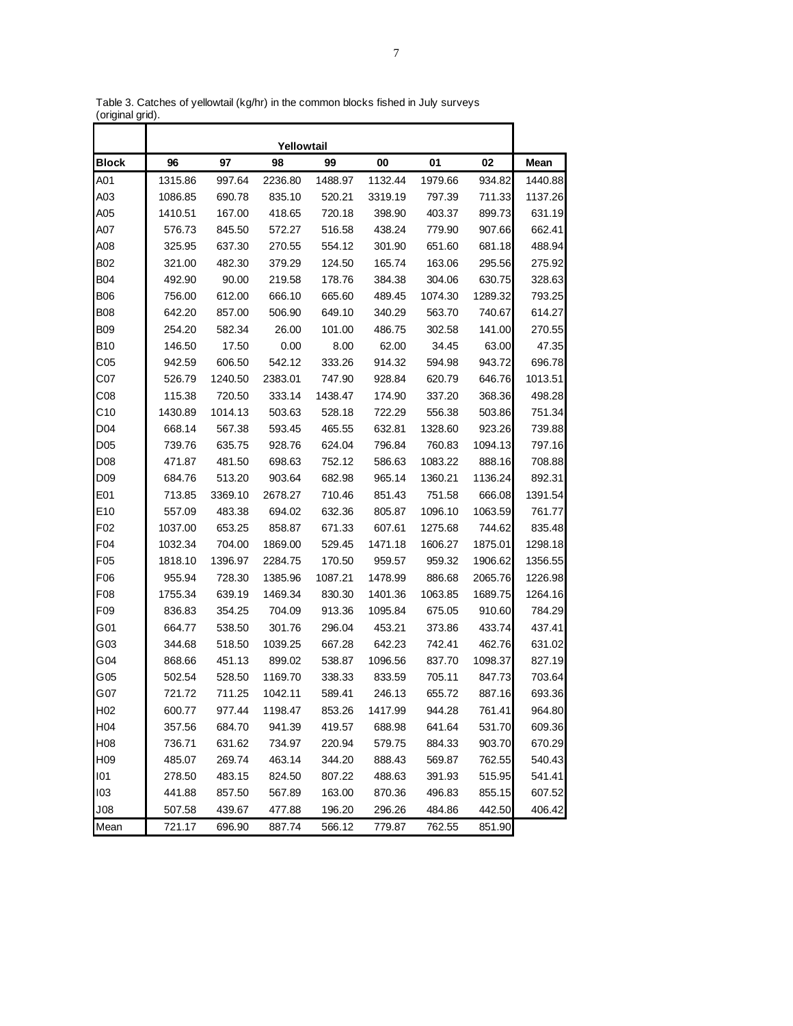|                  |         |         | Yellowtail |         |         |         |         |         |
|------------------|---------|---------|------------|---------|---------|---------|---------|---------|
| <b>Block</b>     | 96      | 97      | 98         | 99      | 00      | 01      | 02      | Mean    |
| A01              | 1315.86 | 997.64  | 2236.80    | 1488.97 | 1132.44 | 1979.66 | 934.82  | 1440.88 |
| A03              | 1086.85 | 690.78  | 835.10     | 520.21  | 3319.19 | 797.39  | 711.33  | 1137.26 |
| A05              | 1410.51 | 167.00  | 418.65     | 720.18  | 398.90  | 403.37  | 899.73  | 631.19  |
| A07              | 576.73  | 845.50  | 572.27     | 516.58  | 438.24  | 779.90  | 907.66  | 662.41  |
| A08              | 325.95  | 637.30  | 270.55     | 554.12  | 301.90  | 651.60  | 681.18  | 488.94  |
| B02              | 321.00  | 482.30  | 379.29     | 124.50  | 165.74  | 163.06  | 295.56  | 275.92  |
| <b>B04</b>       | 492.90  | 90.00   | 219.58     | 178.76  | 384.38  | 304.06  | 630.75  | 328.63  |
| <b>B06</b>       | 756.00  | 612.00  | 666.10     | 665.60  | 489.45  | 1074.30 | 1289.32 | 793.25  |
| <b>B08</b>       | 642.20  | 857.00  | 506.90     | 649.10  | 340.29  | 563.70  | 740.67  | 614.27  |
| B09              | 254.20  | 582.34  | 26.00      | 101.00  | 486.75  | 302.58  | 141.00  | 270.55  |
| <b>B10</b>       | 146.50  | 17.50   | 0.00       | 8.00    | 62.00   | 34.45   | 63.00   | 47.35   |
| C05              | 942.59  | 606.50  | 542.12     | 333.26  | 914.32  | 594.98  | 943.72  | 696.78  |
| C07              | 526.79  | 1240.50 | 2383.01    | 747.90  | 928.84  | 620.79  | 646.76  | 1013.51 |
| CO8              | 115.38  | 720.50  | 333.14     | 1438.47 | 174.90  | 337.20  | 368.36  | 498.28  |
| C10              | 1430.89 | 1014.13 | 503.63     | 528.18  | 722.29  | 556.38  | 503.86  | 751.34  |
| D04              | 668.14  | 567.38  | 593.45     | 465.55  | 632.81  | 1328.60 | 923.26  | 739.88  |
| D <sub>05</sub>  | 739.76  | 635.75  | 928.76     | 624.04  | 796.84  | 760.83  | 1094.13 | 797.16  |
| D <sub>08</sub>  | 471.87  | 481.50  | 698.63     | 752.12  | 586.63  | 1083.22 | 888.16  | 708.88  |
| D <sub>09</sub>  | 684.76  | 513.20  | 903.64     | 682.98  | 965.14  | 1360.21 | 1136.24 | 892.31  |
| E01              | 713.85  | 3369.10 | 2678.27    | 710.46  | 851.43  | 751.58  | 666.08  | 1391.54 |
| E10              | 557.09  | 483.38  | 694.02     | 632.36  | 805.87  | 1096.10 | 1063.59 | 761.77  |
| F <sub>02</sub>  | 1037.00 | 653.25  | 858.87     | 671.33  | 607.61  | 1275.68 | 744.62  | 835.48  |
| F04              | 1032.34 | 704.00  | 1869.00    | 529.45  | 1471.18 | 1606.27 | 1875.01 | 1298.18 |
| F <sub>05</sub>  | 1818.10 | 1396.97 | 2284.75    | 170.50  | 959.57  | 959.32  | 1906.62 | 1356.55 |
| F06              | 955.94  | 728.30  | 1385.96    | 1087.21 | 1478.99 | 886.68  | 2065.76 | 1226.98 |
| F <sub>08</sub>  | 1755.34 | 639.19  | 1469.34    | 830.30  | 1401.36 | 1063.85 | 1689.75 | 1264.16 |
| F <sub>09</sub>  | 836.83  | 354.25  | 704.09     | 913.36  | 1095.84 | 675.05  | 910.60  | 784.29  |
| G01              | 664.77  | 538.50  | 301.76     | 296.04  | 453.21  | 373.86  | 433.74  | 437.41  |
| G03              | 344.68  | 518.50  | 1039.25    | 667.28  | 642.23  | 742.41  | 462.76  | 631.02  |
| G04              | 868.66  | 451.13  | 899.02     | 538.87  | 1096.56 | 837.70  | 1098.37 | 827.19  |
| G05              | 502.54  | 528.50  | 1169.70    | 338.33  | 833.59  | 705.11  | 847.73  | 703.64  |
| G07              | 721.72  | 711.25  | 1042.11    | 589.41  | 246.13  | 655.72  | 887.16  | 693.36  |
| H <sub>02</sub>  | 600.77  | 977.44  | 1198.47    | 853.26  | 1417.99 | 944.28  | 761.41  | 964.80  |
| H04              | 357.56  | 684.70  | 941.39     | 419.57  | 688.98  | 641.64  | 531.70  | 609.36  |
| H <sub>0</sub> 8 | 736.71  | 631.62  | 734.97     | 220.94  | 579.75  | 884.33  | 903.70  | 670.29  |
| H <sub>09</sub>  | 485.07  | 269.74  | 463.14     | 344.20  | 888.43  | 569.87  | 762.55  | 540.43  |
| 101              | 278.50  | 483.15  | 824.50     | 807.22  | 488.63  | 391.93  | 515.95  | 541.41  |
| 103              | 441.88  | 857.50  | 567.89     | 163.00  | 870.36  | 496.83  | 855.15  | 607.52  |
| J <sub>08</sub>  | 507.58  | 439.67  | 477.88     | 196.20  | 296.26  | 484.86  | 442.50  | 406.42  |
| Mean             | 721.17  | 696.90  | 887.74     | 566.12  | 779.87  | 762.55  | 851.90  |         |

Table 3. Catches of yellowtail (kg/hr) in the common blocks fished in July surveys (original grid).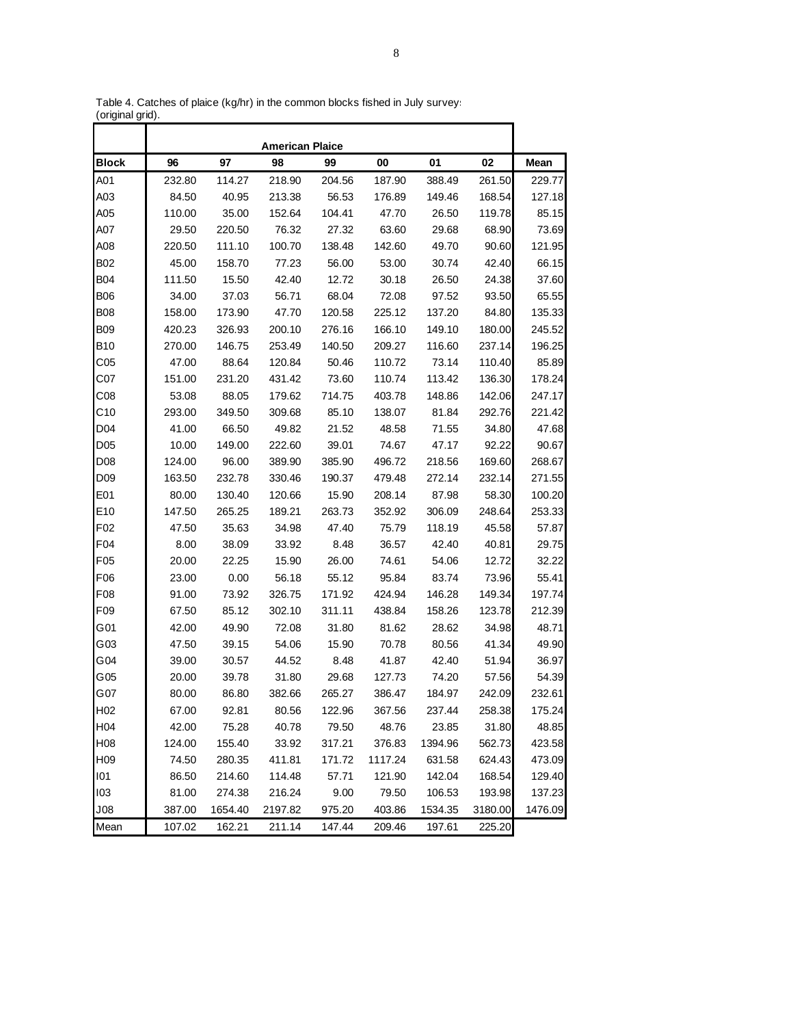|                  |        |         | <b>American Plaice</b> |        |         |         |         |         |
|------------------|--------|---------|------------------------|--------|---------|---------|---------|---------|
| <b>Block</b>     | 96     | 97      | 98                     | 99     | 00      | 01      | 02      | Mean    |
| A01              | 232.80 | 114.27  | 218.90                 | 204.56 | 187.90  | 388.49  | 261.50  | 229.77  |
| A03              | 84.50  | 40.95   | 213.38                 | 56.53  | 176.89  | 149.46  | 168.54  | 127.18  |
| A05              | 110.00 | 35.00   | 152.64                 | 104.41 | 47.70   | 26.50   | 119.78  | 85.15   |
| A07              | 29.50  | 220.50  | 76.32                  | 27.32  | 63.60   | 29.68   | 68.90   | 73.69   |
| A08              | 220.50 | 111.10  | 100.70                 | 138.48 | 142.60  | 49.70   | 90.60   | 121.95  |
| <b>B02</b>       | 45.00  | 158.70  | 77.23                  | 56.00  | 53.00   | 30.74   | 42.40   | 66.15   |
| <b>B04</b>       | 111.50 | 15.50   | 42.40                  | 12.72  | 30.18   | 26.50   | 24.38   | 37.60   |
| <b>B06</b>       | 34.00  | 37.03   | 56.71                  | 68.04  | 72.08   | 97.52   | 93.50   | 65.55   |
| <b>B08</b>       | 158.00 | 173.90  | 47.70                  | 120.58 | 225.12  | 137.20  | 84.80   | 135.33  |
| <b>B09</b>       | 420.23 | 326.93  | 200.10                 | 276.16 | 166.10  | 149.10  | 180.00  | 245.52  |
| <b>B10</b>       | 270.00 | 146.75  | 253.49                 | 140.50 | 209.27  | 116.60  | 237.14  | 196.25  |
| C <sub>05</sub>  | 47.00  | 88.64   | 120.84                 | 50.46  | 110.72  | 73.14   | 110.40  | 85.89   |
| C <sub>07</sub>  | 151.00 | 231.20  | 431.42                 | 73.60  | 110.74  | 113.42  | 136.30  | 178.24  |
| C <sub>08</sub>  | 53.08  | 88.05   | 179.62                 | 714.75 | 403.78  | 148.86  | 142.06  | 247.17  |
| C10              | 293.00 | 349.50  | 309.68                 | 85.10  | 138.07  | 81.84   | 292.76  | 221.42  |
| D <sub>04</sub>  | 41.00  | 66.50   | 49.82                  | 21.52  | 48.58   | 71.55   | 34.80   | 47.68   |
| D <sub>05</sub>  | 10.00  | 149.00  | 222.60                 | 39.01  | 74.67   | 47.17   | 92.22   | 90.67   |
| D08              | 124.00 | 96.00   | 389.90                 | 385.90 | 496.72  | 218.56  | 169.60  | 268.67  |
| D <sub>09</sub>  | 163.50 | 232.78  | 330.46                 | 190.37 | 479.48  | 272.14  | 232.14  | 271.55  |
| E01              | 80.00  | 130.40  | 120.66                 | 15.90  | 208.14  | 87.98   | 58.30   | 100.20  |
| E10              | 147.50 | 265.25  | 189.21                 | 263.73 | 352.92  | 306.09  | 248.64  | 253.33  |
| F <sub>02</sub>  | 47.50  | 35.63   | 34.98                  | 47.40  | 75.79   | 118.19  | 45.58   | 57.87   |
| F <sub>04</sub>  | 8.00   | 38.09   | 33.92                  | 8.48   | 36.57   | 42.40   | 40.81   | 29.75   |
| F <sub>05</sub>  | 20.00  | 22.25   | 15.90                  | 26.00  | 74.61   | 54.06   | 12.72   | 32.22   |
| F06              | 23.00  | 0.00    | 56.18                  | 55.12  | 95.84   | 83.74   | 73.96   | 55.41   |
| F08              | 91.00  | 73.92   | 326.75                 | 171.92 | 424.94  | 146.28  | 149.34  | 197.74  |
| F <sub>09</sub>  | 67.50  | 85.12   | 302.10                 | 311.11 | 438.84  | 158.26  | 123.78  | 212.39  |
| G01              | 42.00  | 49.90   | 72.08                  | 31.80  | 81.62   | 28.62   | 34.98   | 48.71   |
| G03              | 47.50  | 39.15   | 54.06                  | 15.90  | 70.78   | 80.56   | 41.34   | 49.90   |
| G04              | 39.00  | 30.57   | 44.52                  | 8.48   | 41.87   | 42.40   | 51.94   | 36.97   |
| G <sub>05</sub>  | 20.00  | 39.78   | 31.80                  | 29.68  | 127.73  | 74.20   | 57.56   | 54.39   |
| G07              | 80.00  | 86.80   | 382.66                 | 265.27 | 386.47  | 184.97  | 242.09  | 232.61  |
| H <sub>02</sub>  | 67.00  | 92.81   | 80.56                  | 122.96 | 367.56  | 237.44  | 258.38  | 175.24  |
| H <sub>04</sub>  | 42.00  | 75.28   | 40.78                  | 79.50  | 48.76   | 23.85   | 31.80   | 48.85   |
| H <sub>0</sub> 8 | 124.00 | 155.40  | 33.92                  | 317.21 | 376.83  | 1394.96 | 562.73  | 423.58  |
| H <sub>09</sub>  | 74.50  | 280.35  | 411.81                 | 171.72 | 1117.24 | 631.58  | 624.43  | 473.09  |
| 101              | 86.50  | 214.60  | 114.48                 | 57.71  | 121.90  | 142.04  | 168.54  | 129.40  |
| 103              | 81.00  | 274.38  | 216.24                 | 9.00   | 79.50   | 106.53  | 193.98  | 137.23  |
| J08              | 387.00 | 1654.40 | 2197.82                | 975.20 | 403.86  | 1534.35 | 3180.00 | 1476.09 |
| Mean             | 107.02 | 162.21  | 211.14                 | 147.44 | 209.46  | 197.61  | 225.20  |         |

Table 4. Catches of plaice (kg/hr) in the common blocks fished in July surveys (original grid).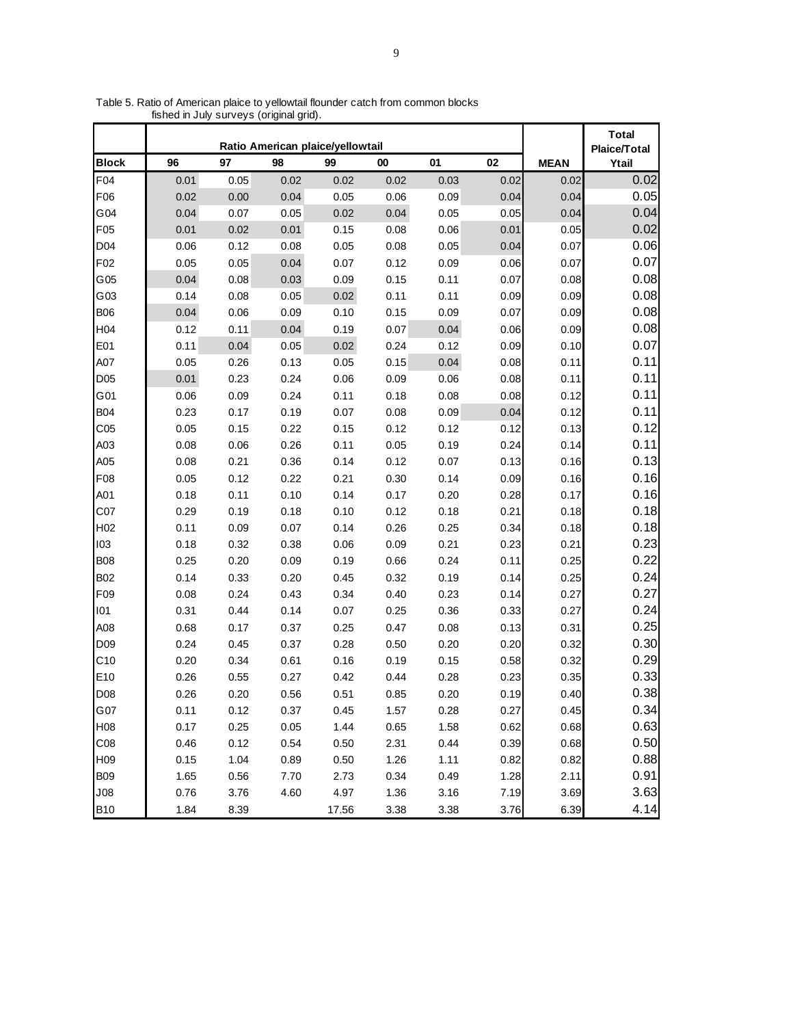|                 |      |      |      | Ratio American plaice/yellowtail |      |      |      |             | <b>Total</b><br>Plaice/Total |
|-----------------|------|------|------|----------------------------------|------|------|------|-------------|------------------------------|
| <b>Block</b>    | 96   | 97   | 98   | 99                               | 00   | 01   | 02   | <b>MEAN</b> | Ytail                        |
| F04             | 0.01 | 0.05 | 0.02 | 0.02                             | 0.02 | 0.03 | 0.02 | 0.02        | 0.02                         |
| F06             | 0.02 | 0.00 | 0.04 | 0.05                             | 0.06 | 0.09 | 0.04 | 0.04        | 0.05                         |
| G04             | 0.04 | 0.07 | 0.05 | 0.02                             | 0.04 | 0.05 | 0.05 | 0.04        | 0.04                         |
| F <sub>05</sub> | 0.01 | 0.02 | 0.01 | 0.15                             | 0.08 | 0.06 | 0.01 | 0.05        | 0.02                         |
| D04             | 0.06 | 0.12 | 0.08 | 0.05                             | 0.08 | 0.05 | 0.04 | 0.07        | 0.06                         |
| F <sub>02</sub> | 0.05 | 0.05 | 0.04 | 0.07                             | 0.12 | 0.09 | 0.06 | 0.07        | 0.07                         |
| G05             | 0.04 | 0.08 | 0.03 | 0.09                             | 0.15 | 0.11 | 0.07 | 0.08        | 0.08                         |
| G03             | 0.14 | 0.08 | 0.05 | 0.02                             | 0.11 | 0.11 | 0.09 | 0.09        | 0.08                         |
| <b>B06</b>      | 0.04 | 0.06 | 0.09 | 0.10                             | 0.15 | 0.09 | 0.07 | 0.09        | 0.08                         |
| H <sub>04</sub> | 0.12 | 0.11 | 0.04 | 0.19                             | 0.07 | 0.04 | 0.06 | 0.09        | 0.08                         |
| E01             | 0.11 | 0.04 | 0.05 | 0.02                             | 0.24 | 0.12 | 0.09 | 0.10        | 0.07                         |
| A07             | 0.05 | 0.26 | 0.13 | 0.05                             | 0.15 | 0.04 | 0.08 | 0.11        | 0.11                         |
| D <sub>05</sub> | 0.01 | 0.23 | 0.24 | 0.06                             | 0.09 | 0.06 | 0.08 | 0.11        | 0.11                         |
| G01             | 0.06 | 0.09 | 0.24 | 0.11                             | 0.18 | 0.08 | 0.08 | 0.12        | 0.11                         |
| <b>B04</b>      | 0.23 | 0.17 | 0.19 | 0.07                             | 0.08 | 0.09 | 0.04 | 0.12        | 0.11                         |
| C <sub>05</sub> | 0.05 | 0.15 | 0.22 | 0.15                             | 0.12 | 0.12 | 0.12 | 0.13        | 0.12                         |
| A03             | 0.08 | 0.06 | 0.26 | 0.11                             | 0.05 | 0.19 | 0.24 | 0.14        | 0.11                         |
| A05             | 0.08 | 0.21 | 0.36 | 0.14                             | 0.12 | 0.07 | 0.13 | 0.16        | 0.13                         |
| F08             | 0.05 | 0.12 | 0.22 | 0.21                             | 0.30 | 0.14 | 0.09 | 0.16        | 0.16                         |
| A01             | 0.18 | 0.11 | 0.10 | 0.14                             | 0.17 | 0.20 | 0.28 | 0.17        | 0.16                         |
| C <sub>07</sub> | 0.29 | 0.19 | 0.18 | 0.10                             | 0.12 | 0.18 | 0.21 | 0.18        | 0.18                         |
| H <sub>02</sub> | 0.11 | 0.09 | 0.07 | 0.14                             | 0.26 | 0.25 | 0.34 | 0.18        | 0.18                         |
| 103             | 0.18 | 0.32 | 0.38 | 0.06                             | 0.09 | 0.21 | 0.23 | 0.21        | 0.23                         |
| <b>B08</b>      | 0.25 | 0.20 | 0.09 | 0.19                             | 0.66 | 0.24 | 0.11 | 0.25        | 0.22                         |
| <b>B02</b>      | 0.14 | 0.33 | 0.20 | 0.45                             | 0.32 | 0.19 | 0.14 | 0.25        | 0.24                         |
| F <sub>09</sub> | 0.08 | 0.24 | 0.43 | 0.34                             | 0.40 | 0.23 | 0.14 | 0.27        | 0.27                         |
| 101             | 0.31 | 0.44 | 0.14 | 0.07                             | 0.25 | 0.36 | 0.33 | 0.27        | 0.24                         |
| A08             | 0.68 | 0.17 | 0.37 | 0.25                             | 0.47 | 0.08 | 0.13 | 0.31        | 0.25                         |
| D <sub>09</sub> | 0.24 | 0.45 | 0.37 | 0.28                             | 0.50 | 0.20 | 0.20 | 0.32        | 0.30                         |
| C <sub>10</sub> | 0.20 | 0.34 | 0.61 | 0.16                             | 0.19 | 0.15 | 0.58 | 0.32        | 0.29                         |
| E10             | 0.26 | 0.55 | 0.27 | 0.42                             | 0.44 | 0.28 | 0.23 | 0.35        | 0.33                         |
| D <sub>08</sub> | 0.26 | 0.20 | 0.56 | 0.51                             | 0.85 | 0.20 | 0.19 | 0.40        | 0.38                         |
| G07             | 0.11 | 0.12 | 0.37 | 0.45                             | 1.57 | 0.28 | 0.27 | 0.45        | 0.34                         |
| H08             | 0.17 | 0.25 | 0.05 | 1.44                             | 0.65 | 1.58 | 0.62 | 0.68        | 0.63                         |
| CO8             | 0.46 | 0.12 | 0.54 | 0.50                             | 2.31 | 0.44 | 0.39 | 0.68        | 0.50                         |
| H <sub>09</sub> | 0.15 | 1.04 | 0.89 | 0.50                             | 1.26 | 1.11 | 0.82 | 0.82        | 0.88                         |
| <b>B09</b>      | 1.65 | 0.56 | 7.70 | 2.73                             | 0.34 | 0.49 | 1.28 | 2.11        | 0.91                         |
| J08             | 0.76 | 3.76 | 4.60 | 4.97                             | 1.36 | 3.16 | 7.19 | 3.69        | 3.63                         |
| <b>B10</b>      | 1.84 | 8.39 |      | 17.56                            | 3.38 | 3.38 | 3.76 | 6.39        | 4.14                         |

Table 5. Ratio of American plaice to yellowtail flounder catch from common blocks fished in July surveys (original grid).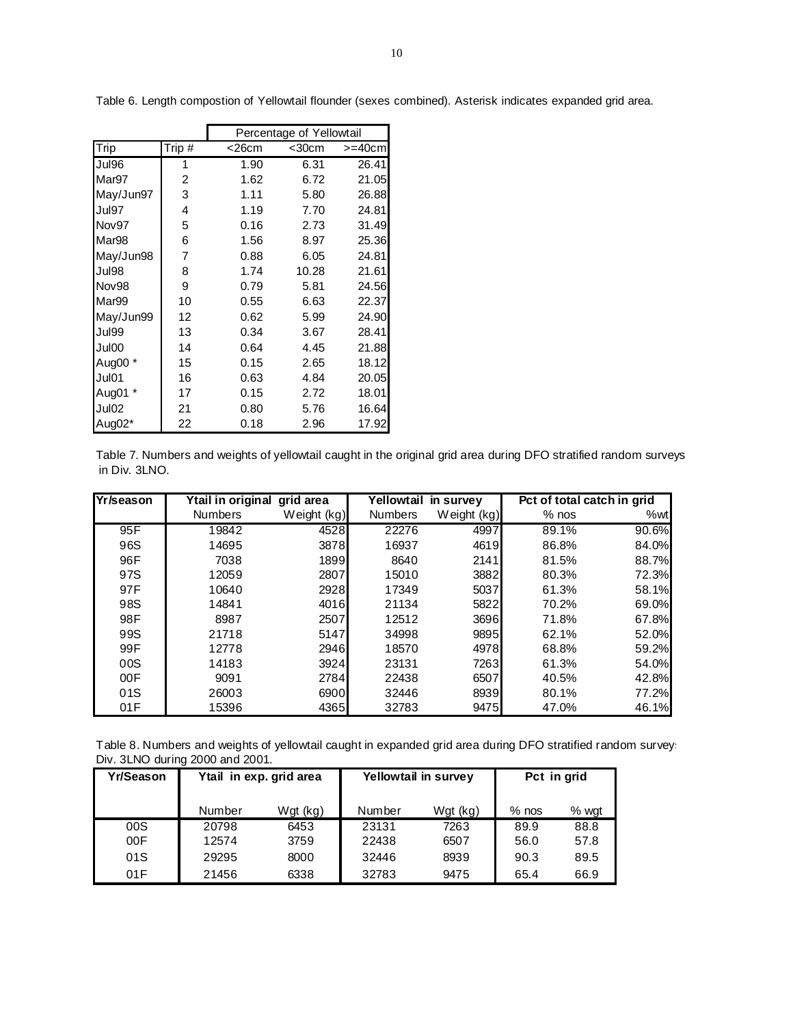|                   |          |       | Percentage of Yellowtail |              |
|-------------------|----------|-------|--------------------------|--------------|
| Trip              | Trip $#$ | <26cm | $<$ 30 $cm$              | $>=$ 40 $cm$ |
| Jul96             | 1        | 1.90  | 6.31                     | 26.41        |
| Mar97             | 2        | 1.62  | 6.72                     | 21.05        |
| May/Jun97         | 3        | 1.11  | 5.80                     | 26.88        |
| Jul97             | 4        | 1.19  | 7.70                     | 24.81        |
| Nov97             | 5        | 0.16  | 2.73                     | 31.49        |
| Mar <sub>98</sub> | 6        | 1.56  | 8.97                     | 25.36        |
| May/Jun98         | 7        | 0.88  | 6.05                     | 24.81        |
| Jul98             | 8        | 1.74  | 10.28                    | 21.61        |
| Nov98             | 9        | 0.79  | 5.81                     | 24.56        |
| Mar99             | 10       | 0.55  | 6.63                     | 22.37        |
| May/Jun99         | 12       | 0.62  | 5.99                     | 24.90        |
| Jul99             | 13       | 0.34  | 3.67                     | 28.41        |
| Jul00             | 14       | 0.64  | 4.45                     | 21.88        |
| Aug00 *           | 15       | 0.15  | 2.65                     | 18.12        |
| Jul01             | 16       | 0.63  | 4.84                     | 20.05        |
| Aug01 *           | 17       | 0.15  | 2.72                     | 18.01        |
| Jul02             | 21       | 0.80  | 5.76                     | 16.64        |
| Aug02*            | 22       | 0.18  | 2.96                     | 17.92        |

Table 6. Length compostion of Yellowtail flounder (sexes combined). Asterisk indicates expanded grid area.

Table 7. Numbers and weights of yellowtail caught in the original grid area during DFO stratified random surveys in Div. 3LNO.

| <b>Yr/season</b> | Ytail in original | grid area   | Yellowtail in survey |             | Pct of total catch in grid |       |
|------------------|-------------------|-------------|----------------------|-------------|----------------------------|-------|
|                  | <b>Numbers</b>    | Weight (kg) | <b>Numbers</b>       | Weight (kg) | $%$ nos                    | %wt   |
| 95F              | 19842             | 4528        | 22276                | 4997        | 89.1%                      | 90.6% |
| 96S              | 14695             | 3878        | 16937                | 4619        | 86.8%                      | 84.0% |
| 96F              | 7038              | 1899        | 8640                 | 2141        | 81.5%                      | 88.7% |
| 97S              | 12059             | 2807        | 15010                | 3882        | 80.3%                      | 72.3% |
| 97F              | 10640             | 2928        | 17349                | 5037        | 61.3%                      | 58.1% |
| 98S              | 14841             | 4016        | 21134                | 5822        | 70.2%                      | 69.0% |
| 98F              | 8987              | 2507        | 12512                | 3696        | 71.8%                      | 67.8% |
| 99S              | 21718             | 5147        | 34998                | 9895        | 62.1%                      | 52.0% |
| 99F              | 12778             | 2946        | 18570                | 4978        | 68.8%                      | 59.2% |
| 00S              | 14183             | 3924        | 23131                | 7263        | 61.3%                      | 54.0% |
| 00F              | 9091              | 2784        | 22438                | 6507        | 40.5%                      | 42.8% |
| 01S              | 26003             | 6900        | 32446                | 8939        | 80.1%                      | 77.2% |
| 01F              | 15396             | 4365        | 32783                | 9475        | 47.0%                      | 46.1% |

Table 8. Numbers and weights of yellowtail caught in expanded grid area during DFO stratified random surveys Div. 3LNO during 2000 and 2001.

| Yr/Season |        | Ytail in exp. grid area |        | Yellowtail in survey |         | Pct in grid |
|-----------|--------|-------------------------|--------|----------------------|---------|-------------|
|           | Number | Wgt (kg)                | Number | Wgt (kg)             | $%$ nos | % wat       |
| 00S       | 20798  | 6453                    | 23131  | 7263                 | 89.9    | 88.8        |
| 00F       | 12574  | 3759                    | 22438  | 6507                 | 56.0    | 57.8        |
| 01S       | 29295  | 8000                    | 32446  | 8939                 | 90.3    | 89.5        |
| 01F       | 21456  | 6338                    | 32783  | 9475                 | 65.4    | 66.9        |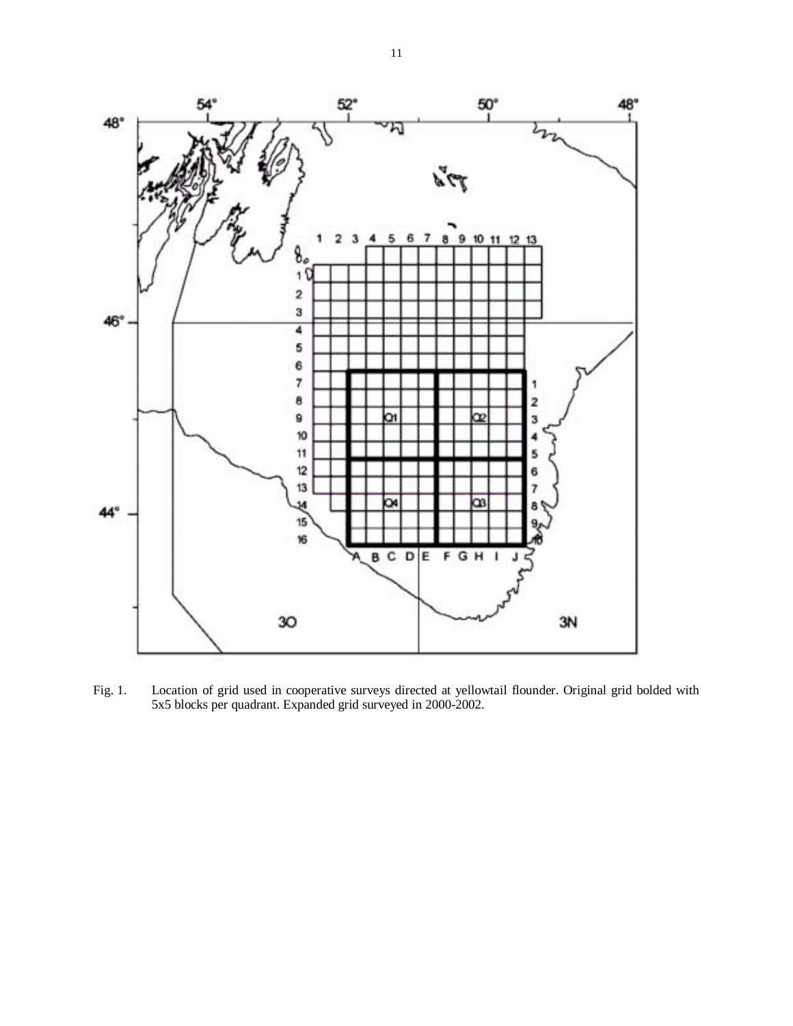

Fig. 1. Location of grid used in cooperative surveys directed at yellowtail flounder. Original grid bolded with 5x5 blocks per quadrant. Expanded grid surveyed in 2000-2002.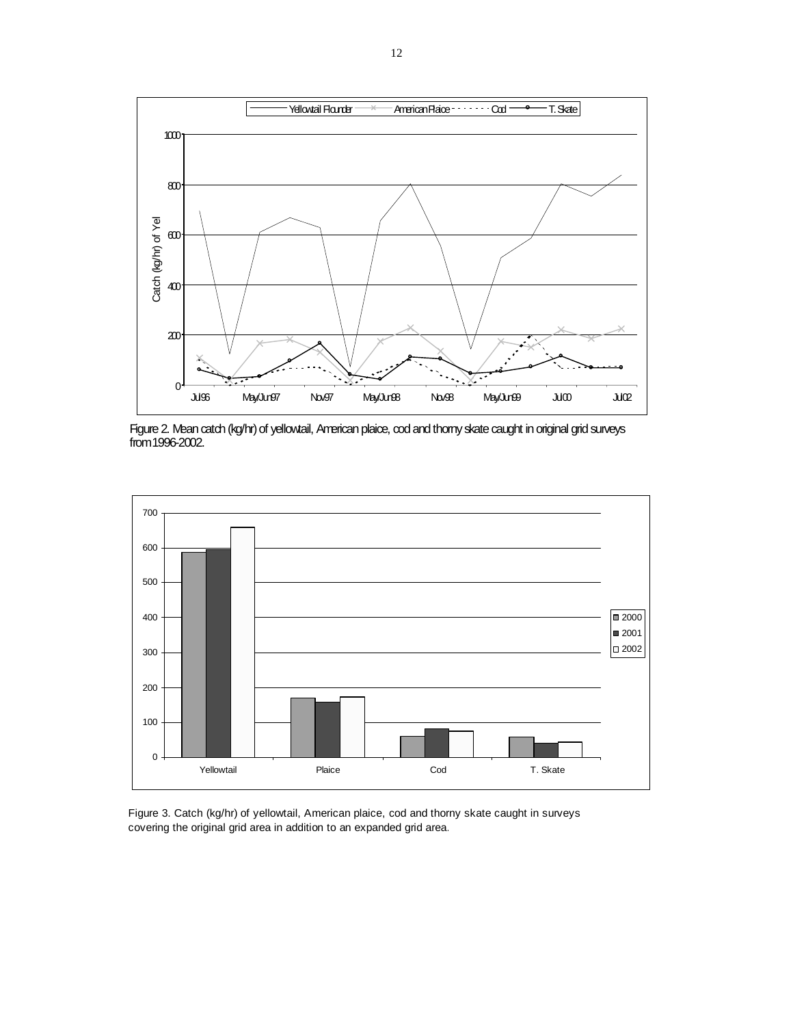

Figure 2. Mean catch (kg/hr) of yellowtail, American plaice, cod and thorny skate caught in original grid surveys from 1996-2002.



Figure 3. Catch (kg/hr) of yellowtail, American plaice, cod and thorny skate caught in surveys covering the original grid area in addition to an expanded grid area.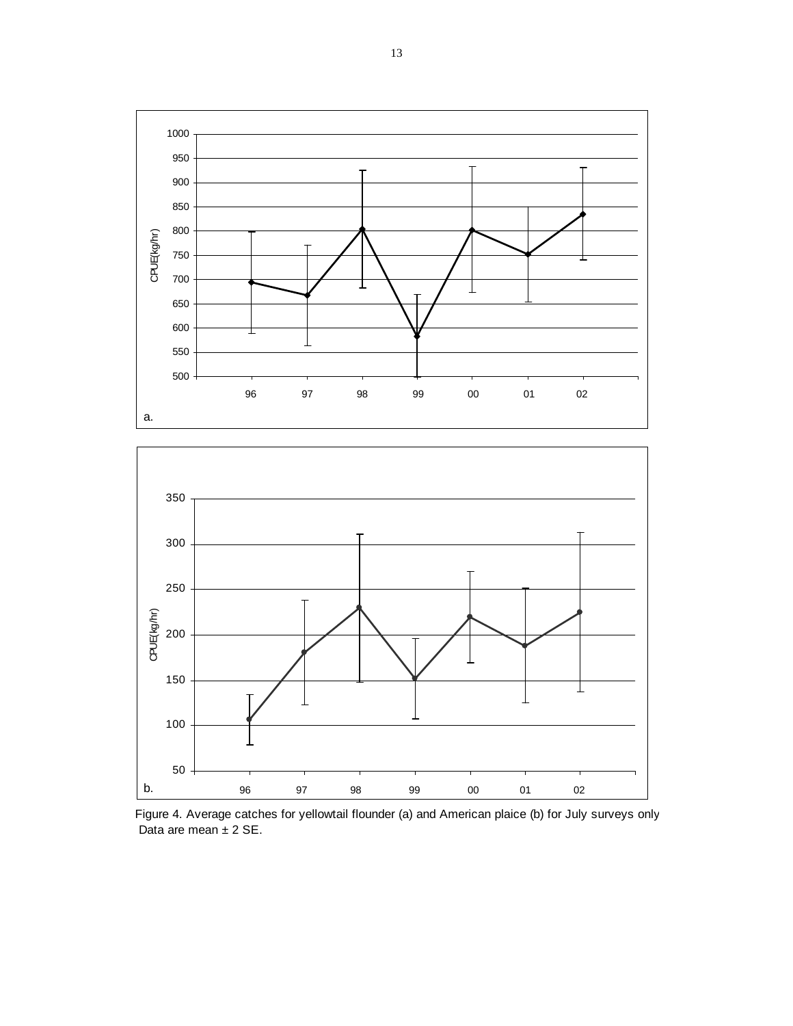T T CPUE(kg/hr) CPUE(kg/hr) I T 97 98 99 00 01 02 a. 



Figure 4. Average catches for yellowtail flounder (a) and American plaice (b) for July surveys only Data are mean ± 2 SE.

#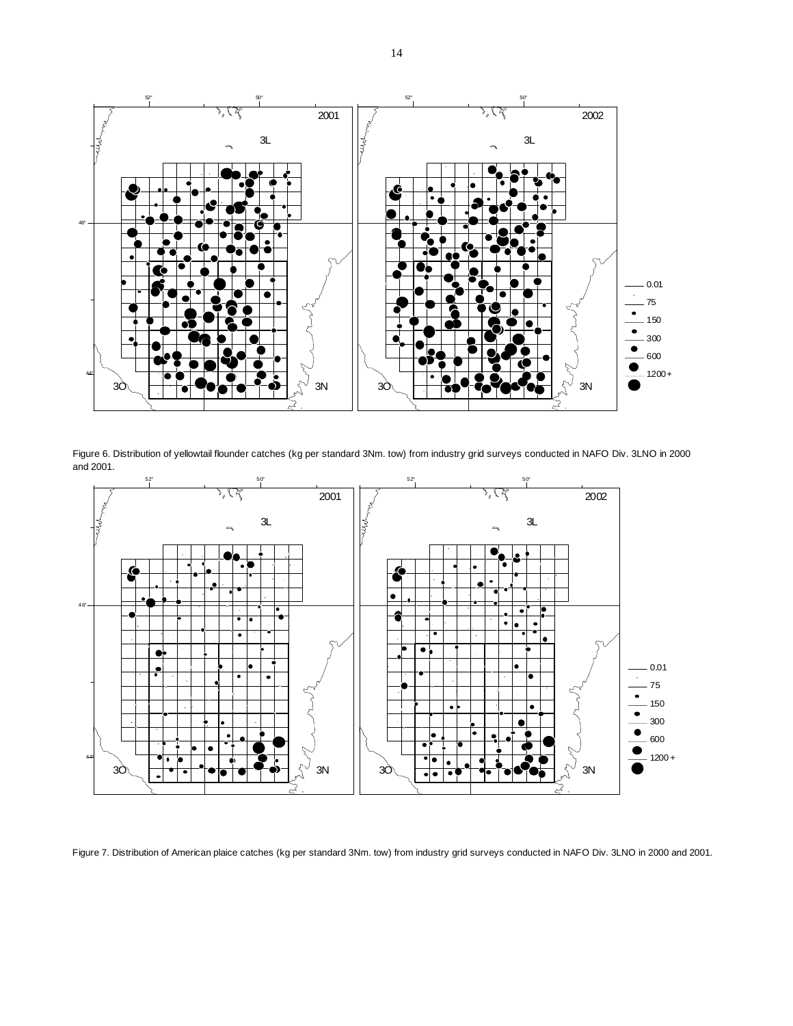

Figure 6. Distribution of yellowtail flounder catches (kg per standard 3Nm. tow) from industry grid surveys conducted in NAFO Div. 3LNO in 2000 and 2001.



Figure 7. Distribution of American plaice catches (kg per standard 3Nm. tow) from industry grid surveys conducted in NAFO Div. 3LNO in 2000 and 2001.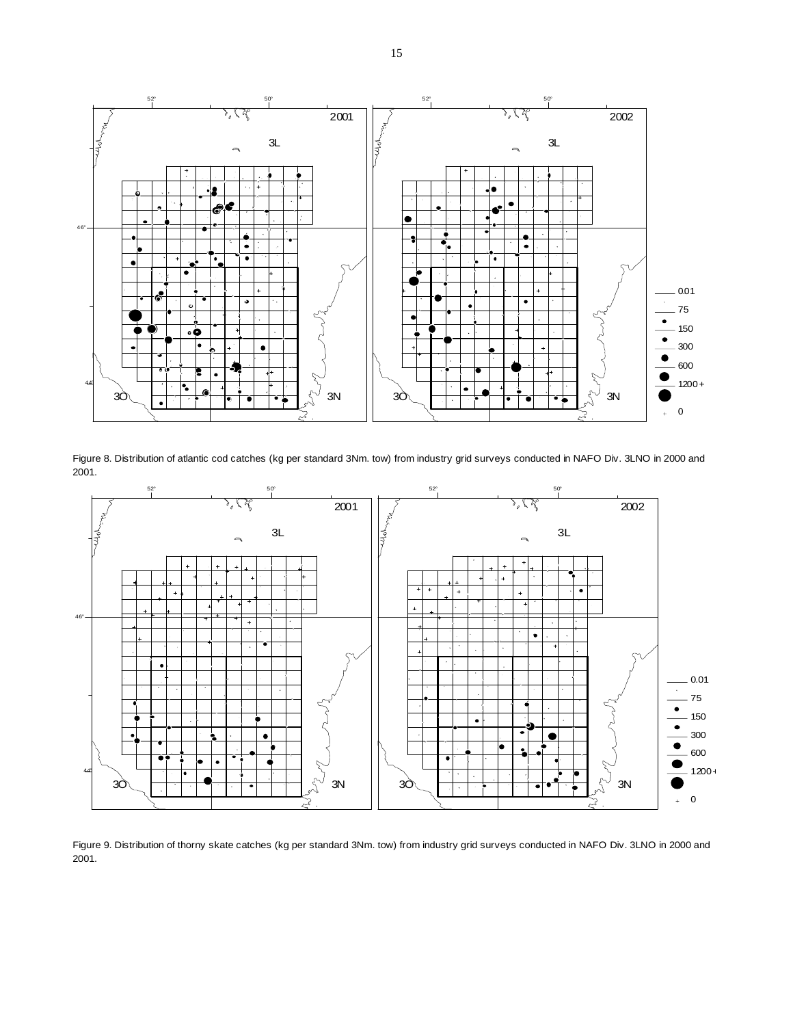

Figure 8. Distribution of atlantic cod catches (kg per standard 3Nm. tow) from industry grid surveys conducted in NAFO Div. 3LNO in 2000 and 2001.



Figure 9. Distribution of thorny skate catches (kg per standard 3Nm. tow) from industry grid surveys conducted in NAFO Div. 3LNO in 2000 and 2001.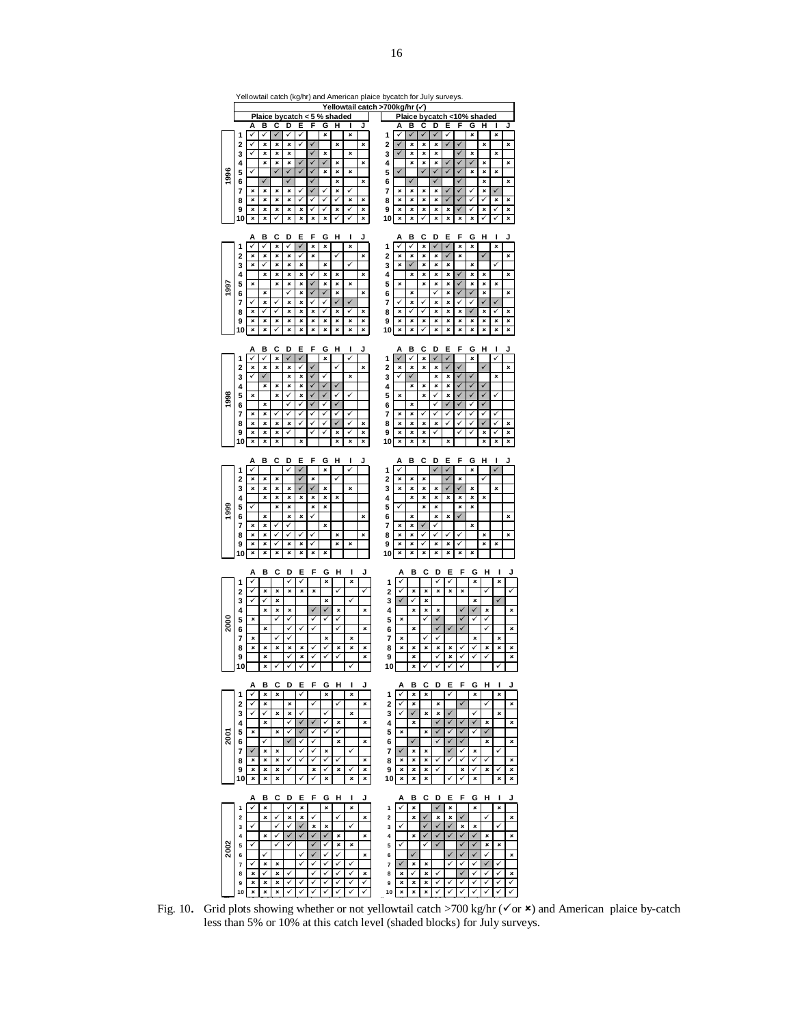|      |         |        |             |        |        |                                         |              |                   |        |                   |        | Yellowtail catch (kg/hr) and American plaice bycatch for July surveys. |              |                   |                   |                              |                   |                   |                     |              |              |        |
|------|---------|--------|-------------|--------|--------|-----------------------------------------|--------------|-------------------|--------|-------------------|--------|------------------------------------------------------------------------|--------------|-------------------|-------------------|------------------------------|-------------------|-------------------|---------------------|--------------|--------------|--------|
|      |         |        |             |        |        | Plaice bycatch < 5 % shaded             |              |                   |        |                   |        | Yellowtail catch >700kg/hr (√)                                         |              | Plaice            |                   |                              |                   |                   | bycatch <10% shaded |              |              |        |
|      |         | А      | в           | c      | D      | Е                                       | F            | G                 | н      | J                 | J      |                                                                        | А            | в                 | c                 | D                            | Е                 | F                 | G                   | н            | ı            | J      |
|      | 1<br>2  | ✓<br>✓ | ✓<br>×      | ✓<br>× | ✓<br>× | ✓<br>✓                                  | $\checkmark$ | ×                 | ×      | ×                 | ×      | 1<br>2                                                                 | v            | ×                 | $\checkmark$<br>× | ✓<br>×                       | ✓                 | V                 | ×                   | ×            | ×            | ×      |
|      | 3       | ✓      | ×           | ×      | ×      |                                         | ✓            | ×                 |        | ×                 |        | 3                                                                      | ✓            | ×                 | ×                 | ×                            |                   | ✓                 | ×                   |              | ×            |        |
|      | 4       |        | ×           | ×      | ×      | ✓                                       | $\checkmark$ | ✓                 | ×      |                   | ×      | 4                                                                      |              | ×                 | ×                 | ×                            | ✓                 | ✓                 | ✓                   | ×            |              | ×      |
| 996  | 5<br>6  | ✓      | ✓           | ✓      | ✓<br>✓ | ✓                                       | ✓<br>✓       | ×                 | ×<br>× | ×                 | ×      | 5<br>6                                                                 | $\checkmark$ |                   | $\checkmark$      | $\checkmark$<br>✓            | $\checkmark$      | ✓<br>✓            | ×                   | ×<br>×       | ×            | ×      |
|      | 7       | ×      | $\mathbf x$ | ×      | ×      | ✓                                       | ✓            | ✓                 | ×      | ✓                 |        | 7                                                                      | ×            | ×                 | ×                 | ×                            | $\checkmark$      | v                 | ✓                   | ×            | ✓            |        |
|      | 8       | ×      | ×           | ×      | ×      | ✓                                       | ✓            | ✓                 | ✓      | ×                 | ×      | 8                                                                      | ×            | ×                 | ×                 | ×                            | ✓                 | ✓                 | ✓                   |              | ×            | ×      |
|      | 9<br>10 | ×<br>× | ×<br>×      | ×<br>✓ | ×<br>× | ×<br>×                                  | ✓<br>×       | ✓<br>×            | ×<br>✓ | ✓<br>✓            | ×<br>× | 9<br>10                                                                | ×<br>×       | ×<br>×            | ×<br>✓            | ×<br>×                       | ×<br>×            | ✓<br>×            | ✓<br>×              | ×<br>✓       | ✓<br>✓       | ×<br>× |
|      |         |        |             |        |        |                                         |              |                   |        |                   |        |                                                                        |              |                   |                   |                              |                   |                   |                     |              |              |        |
|      |         | Α<br>✓ | в<br>√      | c<br>× | D<br>✓ | Е<br>✓                                  | F<br>×       | G<br>×            | н      | I<br>×            | J      |                                                                        | A            | в                 | с<br>×            | D<br>✓                       | Е<br>✓            | F<br>×            | G<br>×              | н            | ı<br>×       | J      |
|      | 1<br>2  | ×      | ×           | ×      | ×      | ✓                                       | ×            |                   | ✓      |                   | ×      | 1<br>2                                                                 | ×            | ×                 | ×                 | ×                            | ✓                 | ×                 |                     | ✓            |              | ×      |
|      | 3       | ×      | ✓           | ×      | ×      | ×                                       |              | ×                 |        | J                 |        | 3                                                                      | ×            | $\checkmark$      | ×                 | ×                            | ×                 |                   | ×                   |              | J            |        |
|      | 4<br>5  | ×      | ×           | ×<br>× | ×<br>× | ×<br>×                                  | ✓<br>✓       | ×<br>×            | ×<br>× | ×                 | ×      | 4<br>5                                                                 | ×            | ×                 | ×<br>×            | ×<br>×                       | ×<br>×            | v                 | ×<br>×              | ×<br>×       | ×            | ×      |
| 1997 | 6       |        | ×           |        | v      | ×                                       | $\checkmark$ | ✓                 | ×      |                   | ×      | 6                                                                      |              | ×                 |                   | ✓                            | ×                 |                   | ✓                   | ×            |              | ×      |
|      | 7       | ✓      | ×           | ✓      | ×      | ×                                       | ✓            | ✓                 | ✓      | ✓                 |        | 7                                                                      | ✓            | ×                 | ✓                 | ×                            | ×                 | ✓                 | ✓                   | ✓            | ✓            |        |
|      | 8<br>9  | ×<br>× | ✓<br>×      | ✓<br>× | ×<br>× | ×<br>×                                  | ×<br>×       | ✓<br>×            | ×<br>× | ✓<br>×            | ×<br>× | 8<br>9                                                                 | ×<br>×       | ✓<br>×            | ✓<br>×            | ×<br>×                       | ×<br>×            | ×<br>×            | ✓<br>×              | ×<br>×       | ✓<br>×       | ×<br>× |
|      | 10      | ×      | ×           | ✓      | ×      | ×                                       | ×            | ×                 | ×      | ×                 | ×      | 10                                                                     | ×            | ×                 | ✓                 | ×                            | ×                 | ×                 | ×                   | ×            | ×            | ×      |
|      |         |        |             |        |        |                                         |              |                   |        |                   |        |                                                                        |              |                   |                   |                              |                   |                   |                     |              |              |        |
|      | 1       | А<br>✓ | в<br>✓      | c<br>× | D      | Е<br>✓                                  | F            | G<br>×            | н      | J<br>✓            | J      | 1                                                                      | А            | в<br>✓            | c<br>×            | D                            | Ε<br>$\checkmark$ | F                 | G<br>×              | н            | L<br>J       |        |
|      | 2       | ×      | ×           | ×      | ×      | ✓                                       | ✓            |                   | ✓      |                   | ×      | 2                                                                      | ×            | ×                 | ×                 | ×                            | ✓                 | ✓                 |                     | ✓            |              | ×      |
|      | 3<br>4  | ✓      | ✓<br>×      | ×      | ×<br>× | ×<br>×                                  | ✓<br>✓       | ✓<br>✓            | ✓      | ×                 |        | 3<br>4                                                                 | ✓            | $\checkmark$<br>× | ×                 | ×<br>×                       | ×<br>×            | $\checkmark$<br>✓ | ✓<br>✓              | $\checkmark$ | ×            |        |
| 1998 | 5       | ×      |             | ×      | ✓      | ×                                       | ✓            | ✓                 | ✓      | ✓                 |        | 5                                                                      | ×            |                   | ×                 | ✓                            | ×                 | ✓                 | ✓                   | ✓            | ✓            |        |
|      | 6       |        | $\mathbf x$ |        | ✓      | ✓                                       | ✓            | √                 | ✓      |                   |        | 6                                                                      |              | ×                 |                   |                              |                   |                   | ✓                   | ✓            |              |        |
|      | 7<br>8  | ×<br>× | ×<br>×      | ✓<br>× | ✓<br>× | ✓<br>✓                                  | ✓<br>✓       | ✓<br>✓            | √<br>✓ | ✓<br>✓            | ×      | 7<br>8                                                                 | ×<br>×       | ×<br>×            | ×                 | ×                            | ✓                 | ✓                 | ✓<br>✓              | ✓<br>✓       | ✓<br>✓       | ×      |
|      | 9       | ×      | ×           | ×      | ✓      |                                         | v            | ✓                 | ×      | ✓                 | ×      | 9                                                                      | ×            | ×                 | ×                 | ✓                            |                   |                   | v                   | ×            | ر            | ×      |
|      | 10      | ×      | ×           | ×      |        | ×                                       |              |                   | ×      | ×                 | ×      | 10                                                                     | ×            | ×                 | ×                 |                              | ×                 |                   |                     | ×            | ×            | ×      |
|      |         | A      | в           | c      | D      | Е                                       | F            | G                 | H      | ı                 | J      |                                                                        | A            | в                 | c                 | D                            | Е                 | F                 | G                   | H            | ı            |        |
|      | 1       | ✓      |             |        | ✓      | ✓                                       |              | ×                 |        | ✓                 |        | 1                                                                      | J            |                   |                   | $\checkmark$                 | $\checkmark$      |                   | ×                   |              | v            |        |
|      | 2<br>3  | ×<br>× | ×<br>×      | ×<br>× | ×      | $\overline{\checkmark}$<br>$\checkmark$ | ×<br>✓       | ×                 | ✓      | ×                 |        | 2<br>3                                                                 | ×<br>×       | ×<br>×            | ×<br>×            | ×                            | J                 | ×<br>✓            | ×                   | J            | ×            |        |
|      | 4       |        | ×           | ×      | ×      | ×                                       | ×            | ×                 | ×      |                   |        | 4                                                                      |              | ×                 | ×                 | ×                            | ×                 | ×                 | ×                   | ×            |              |        |
| 99   | 5       | ✓      |             | ×      | ×      |                                         | ×            | ×                 |        |                   |        | 5                                                                      |              |                   | ×                 | ×                            |                   | ×                 | ×                   |              |              |        |
|      | 6<br>7  | ×      | ×<br>×      | ✓      | ×<br>✓ | ×                                       | ✓            | ×                 |        |                   | ×      | 6<br>7                                                                 | ×            | ×<br>×            |                   | ×<br>J                       | ×                 | ✓                 | ×                   |              |              | ×      |
|      | 8       | ×      | ×           | ✓      | ✓      | ✓                                       | √            |                   | ×      |                   | ×      | 8                                                                      | ×            | ×                 | v                 | ✓                            | ✓                 | √                 |                     | ×            |              | ×      |
|      | 9<br>10 | ×<br>× | ×<br>×      | ✓<br>× | ×<br>× | ×<br>×                                  | ✓<br>×       | ×                 | ×      | ×                 |        | 9<br>10                                                                | ×<br>×       | ×<br>×            | ✓<br>×            | ×<br>×                       | ×<br>×            | ✓<br>×            | ×                   | ×            | ×            |        |
|      |         |        |             |        |        |                                         |              |                   |        |                   |        |                                                                        |              |                   |                   |                              |                   |                   |                     |              |              |        |
|      | 1       | А<br>✓ | в           | c      | D<br>V | Е<br>v                                  | F            | G<br>×            | н      | ı<br>×            | J      | 1                                                                      | А<br>✓       | в                 | c                 | D<br>✓                       | Е<br>✓            | F                 | G<br>×              | н            | ı<br>×       |        |
|      | 2       | ✓      | ×           | ×      | ×      | ×                                       | ×            |                   | V      |                   | ✓      | 2                                                                      | ✓            | ×                 | ×                 | ×                            | ×                 | ×                 |                     | ✓            |              | V      |
|      | 3       | ✓      | ✓           | ×      |        |                                         |              | ×                 |        | ✓                 |        | 3                                                                      | ✓            | ✓                 | ×                 |                              |                   |                   | ×                   |              | ✓            |        |
|      | 4<br>5  | ×      | ×           | ×<br>✓ | ×<br>✓ |                                         | ✓            | $\checkmark$<br>✓ | ×<br>✓ |                   | ×      | 4<br>5                                                                 | ×            | ×                 | ×<br>V            | ×<br>$\overline{\checkmark}$ |                   | ✓<br>$\checkmark$ | $\checkmark$        | ×<br>✓       |              | ×      |
| 2000 | 6       |        | ×           |        | ✓      | ✓                                       | ✓            |                   | ✓      |                   | ×      | 6                                                                      |              | ×                 |                   | ✓                            | ✓                 | ✓                 |                     | ✓            |              | ×      |
|      | 7       | ×      |             | J      | J      |                                         |              | ×                 |        | ×                 |        | 7                                                                      | ×            |                   | ✓                 | ✓                            |                   |                   | $\mathbf{x}$        |              | $\mathbf{x}$ |        |
|      | 8<br>9  | ×      | ×<br>×      | ×      | ×<br>✓ | ×<br>×                                  | ٧<br>v       | ✓<br>✓            | ×<br>✓ | ×                 | ×<br>× | 8<br>9                                                                 | ×            | ×<br>×            | ×                 | ×<br>✓                       | ×<br>×            | ✓<br>✓            | V<br>✓              | ×<br>✓       | ×            | ×<br>× |
|      | 10      |        | ×           | ✓      | ✓      | ✓                                       | ✓            |                   |        | ✓                 |        | 10                                                                     |              | ×                 | ✓                 | ✓                            | ✓                 | ✓                 |                     |              | ✓            |        |
|      |         | A      | в           | c      | D      | Ε                                       | F            | G                 | H      | I                 | J      |                                                                        | A            | в                 | c                 | D                            | Е                 | F                 | G                   | H            | ı            | J      |
|      | 1       | ✓      | ×           | ×      |        | ✓                                       |              | ×                 |        | ×                 |        | 1                                                                      |              | ×                 | ×                 |                              | ✓                 |                   | ×                   |              | ×            |        |
|      | 2       | ✓      | ×<br>✓      |        | ×      | ✓                                       | ✓            | ✓                 | ✓      |                   | ×      | 2                                                                      |              | ×                 |                   | ×                            | ✓                 | ✓                 | ✓                   | ✓            |              | ×      |
|      | 3<br>4  | ✓      | ×           | ×      | ×<br>√ | ✓                                       | $\checkmark$ | ✓                 | ×      | ×                 | ×      | 3<br>4                                                                 | ✓            | ✓<br>×            | ×                 | ×<br>✓                       | ✓                 | ✓                 | ✓                   | ×            | ×            | ×      |
| 2001 | 5       | ×      |             | ×      | ✓      | ✓                                       | ✓            | ✓                 | ✓      |                   |        | 5                                                                      | ×            |                   | ×                 | $\checkmark$                 | ✓                 | ✓                 | ✓                   | ✓            |              |        |
|      | 6<br>7  | ✓      | ✓<br>×      | ×      |        | ✓<br>✓                                  | ✓<br>✓       | ×                 | ×      | ✓                 | ×      | 6<br>7                                                                 | ✓            | ✓<br>×            | ×                 | ✓                            | ✓<br>✓            | ✓<br>✓            | ×                   | ×            | V            | ×      |
|      | 8       | ×      | ×           | ×      | ✓      | ✓                                       | ✓            | ✓                 | ✓      |                   | ×      | 8                                                                      | ×            | ×                 | ×                 | ✓                            | ✓                 | ✓                 | ✓                   | ✓            |              | ×      |
|      | 9       | ×      | ×           | ×      | √      |                                         | ×            | ✓                 | ×      | ✓                 | ×      | 9                                                                      | ×            | ×                 | ×                 | ✓                            |                   | ×                 | ✓                   | ×            | ✓            | ×      |
|      | 10      | ×      | ×           | ×      |        | ✓                                       | ✓            | ×                 |        | ×                 | ×      | 10                                                                     | ×            | ×                 | ×                 |                              | ✓                 | ✓                 | ×                   |              | ×            | ×      |
|      |         | Α      | в           | c      | D      | Ε                                       | F            | G                 | н      | I                 | J      |                                                                        | А            | в                 | c                 | D                            | Е                 | F                 | G                   | н            | I            | J      |
|      | 1       | ✓      | ×<br>×      | ✓      | ✓<br>× | ×<br>×                                  | ✓            | ×                 | ✓      | ×                 | ×      | 1                                                                      | ✓            | ×<br>×            | ✓                 | $\checkmark$<br>×            | ×<br>×            | ✓                 | ×                   | ✓            | ×            | ×      |
|      | 2<br>3  | ✓      |             | ✓      | ✓      | $\checkmark$                            | ×            | ×                 |        | ✓                 |        | 2<br>3                                                                 | ✓            |                   | ✓                 | $\checkmark$                 | ✓                 | ×                 | ×                   |              | ✓            |        |
|      | 4       |        | ×           | ✓      | ✓      | $\checkmark$                            | ✓            | $\checkmark$      | ×      |                   | ×      | 4                                                                      |              | ×                 | ✓                 | $\checkmark$                 | $\checkmark$      | ✓                 | $\checkmark$        | ×            |              | ×      |
| 2002 | 5<br>6  | ✓      | ✓           | ✓      | ✓      | ✓                                       | ✓<br>✓       | ✓<br>✓            | ×<br>✓ | ×                 | ×      | 5<br>6                                                                 | ✓            | ✓                 | ✓                 | $\checkmark$                 | ✓                 | ✓<br>✓            | ✓<br>✓              | ×<br>✓       | ×            | ×      |
|      | 7       | ✓      | ×           | ×      |        | ✓                                       | ✓            | ✓                 | ✓      | ✓                 |        | 7                                                                      | ✓            | ×                 | ×                 |                              | ✓                 | ✓                 | ✓                   | ✓            |              |        |
|      | 8       | ×      | ✓           | ×      | ✓      |                                         | ✓            | ✓                 | ✓      | ✓                 | ×      | 8                                                                      | ×            | ✓                 | ×                 | ✓                            |                   | ✓                 | ✓                   | ✓            | ✓            | ×      |
|      | 9<br>10 | ×<br>× | ×<br>×      | ×<br>× | ✓<br>✓ | ✓<br>✓                                  | ✓<br>✓       | ✓<br>✓            | ✓<br>✓ | ✓<br>$\checkmark$ | ✓<br>✓ | 9<br>10                                                                | ×<br>×       | ×<br>×            | ×<br>×            | ✓<br>✓                       | ✓<br>✓            | ✓<br>✓            | ✓<br>✓              | ✓<br>✓       | ✓<br>✓       | ✓<br>✓ |
|      |         |        |             |        |        |                                         |              |                   |        |                   |        |                                                                        |              |                   |                   |                              |                   |                   |                     |              |              |        |

Fig. 10. Grid plots showing whether or not yellowtail catch >700 kg/hr ( $\checkmark$  or  $\checkmark$ ) and American plaice by-catch less than 5% or 10% at this catch level (shaded blocks) for July surveys.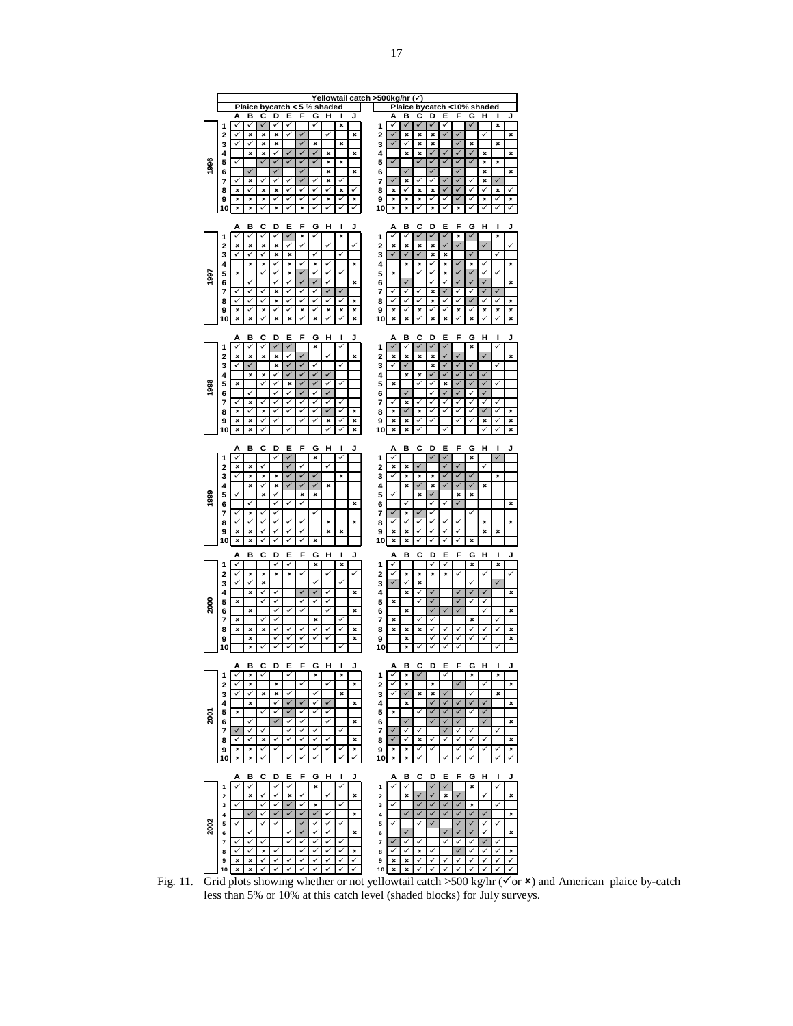|                                 |                |        |                   |        |         |                   |        |        |        |        |        | <u>Yellowtail catch &gt;500kg/hr</u> |                   |        | び                 |              |                   |                         |                   |                         |              |        |
|---------------------------------|----------------|--------|-------------------|--------|---------|-------------------|--------|--------|--------|--------|--------|--------------------------------------|-------------------|--------|-------------------|--------------|-------------------|-------------------------|-------------------|-------------------------|--------------|--------|
|                                 |                |        | Plaice            |        | bycatch |                   | 5      | %      | shaded |        |        |                                      | Рlа               |        | bycat             |              | h                 | 0%                      |                   | haded                   |              |        |
|                                 | 1              | Α      | в<br>✓            | c<br>✓ | D       | Е<br>✓            | F      | G      | н      | ı<br>× | J      | 1                                    | Α                 | в<br>✓ | c<br>✓            | D            | Е                 | F                       | G<br>✓            | н                       | ı<br>×       | J      |
|                                 | 2              | ✓      | ×                 | ×      | ×       | ✓                 |        |        | ✓      |        | ×      | $\overline{a}$                       | ✓                 | ×      | ×                 | ×            |                   |                         |                   | ✓                       |              | ×      |
|                                 | 3              | ✓      | ✓                 | ×      | ×       |                   |        | ×      |        | ×      |        | 3                                    | $\checkmark$      | ✓      | ×                 | ×            |                   |                         | ×                 |                         | ×            |        |
|                                 | 4              |        | ×                 | ×      | ✓       |                   |        |        | ×      |        | ×      | 4                                    |                   | ×      | ×                 |              |                   |                         |                   | ×                       |              | ×      |
| 1996                            | 5              | ✓      |                   | ✓      | ✓<br>J  | ✓                 |        |        | ×      | ×      |        | 5                                    | ✓                 | J      | ✓                 |              |                   |                         |                   | ×                       | ×            |        |
|                                 | 6<br>7         | ✓      | $\checkmark$<br>× | ✓      | ✓       | ✓                 | J<br>✓ | ✓      | ×<br>× | ✓      | ×      | 6<br>7                               | ✓                 | ×      | ✓                 | ✓            | ✓                 | ✓                       | ✓                 | ×<br>×                  | ✓            | ×      |
|                                 | 8              | ×      | ✓                 | ×      | ×       | ✓                 |        |        | ✓      | ×      | ✓      | 8                                    | ×                 | ✓      | ×                 | ×            |                   |                         |                   |                         | ×            |        |
|                                 | 9              | ×      | ×                 | ×      |         | ✓                 |        |        | ×      |        | ×      | 9                                    | ×                 | ×      | ×                 |              |                   |                         |                   | ×                       |              | ×      |
|                                 | 10             | ×      | ×                 | ✓      | ×       | ∕                 | ×      |        |        |        | ✓      | 10                                   | ×                 | ×      | ✓                 | ×            | ✓                 | ×                       |                   |                         |              | ✓      |
|                                 |                |        |                   |        |         |                   |        |        |        |        |        |                                      |                   |        |                   |              |                   |                         |                   |                         |              |        |
|                                 | 1              | Α<br>✓ | в<br>✓            | c<br>✓ | D<br>✓  | Е<br>✓            | F<br>× | G<br>✓ | н      | I<br>× | J      | 1                                    | Α<br>✓            | в<br>✓ | c<br>✓            | D<br>✓       | Е<br>✓            | F<br>×                  | G<br>$\checkmark$ | н                       | ı<br>×       | J      |
|                                 | 2              | ×      | ×                 | ×      | ×       | ✓                 | ✓      |        | ✓      |        | ✓      | 2                                    | ×                 | ×      | ×                 | ×            | ✓                 | $\overline{\checkmark}$ |                   | $\overline{\checkmark}$ |              | ✓      |
|                                 | 3              | ✓      | ✓                 | ✓      | ×       | ×                 |        | ✓      |        | ✓      |        | 3                                    | ✓                 |        |                   | ×            | ×                 |                         |                   |                         | ✓            |        |
|                                 | 4              |        | ×                 | ×      | ✓       | ×                 | ✓      | ×      | ✓      |        | ×      | 4                                    |                   | ×      | ×                 |              | ×                 |                         | ×                 | ✓                       |              | ×      |
| 1997                            | 5              | ×      |                   | ✓      | ✓<br>✓  | ×                 |        |        | ✓      | ✓      |        | 5                                    | ×                 | Í      | ✓                 | ✓            | ×                 |                         |                   |                         |              |        |
|                                 | 6<br>7         | ✓      | ✓<br>✓            | ✓      | ×       | ✓<br>✓            | ✓      | ✓      |        |        | ×      | 6<br>7                               | ✓                 | ✓      |                   | ×            | ✓                 |                         |                   |                         |              | ×      |
|                                 | 8              | ✓      | ✓                 | ✓      | ×       | ✓                 | ✓      | ✓      | ✓      | ✓      | ×      | 8                                    | ✓                 | ✓      | ✓                 | ×            | ✓                 | ✓                       |                   |                         | ✓            | ×      |
|                                 | 9              | ×      | ✓                 | ×      | ✓       | ✓                 | ×      | ✓      | ×      | ×      | ×      | 9                                    | ×                 | ✓      | ×                 | ✓            |                   | ×                       |                   | ×                       | ×            | ×      |
|                                 | 10             | ×      | ×                 | ✓      | ×       | ×                 | ✓      | ×      | ✓      | ✓      | ×      | 10                                   | ×                 | ×      | ✓                 | ×            | ×                 | ✓                       | ×                 |                         | ✓            | ×      |
|                                 |                |        |                   |        |         |                   |        |        |        |        |        |                                      |                   |        |                   |              |                   |                         |                   |                         |              |        |
|                                 | 1              | Α<br>✓ | в<br>✓            | c<br>✓ | D       | Е                 | F      | G<br>× | н      | ı<br>✓ | J      | 1                                    | А<br>$\checkmark$ | в<br>✓ | c<br>$\checkmark$ | D            | Е<br>$\checkmark$ | F                       | G<br>×            | н                       | I<br>✓       | J      |
|                                 | 2              | ×      | ×                 | ×      | ×       | ✓                 | ✓      |        | ✓      |        | ×      | 2                                    | ×                 | ×      | ×                 | ×            | $\checkmark$      | ✓                       |                   | ✓                       |              | ×      |
|                                 | 3              | ✓      | $\checkmark$      |        | ×       | J                 | V      | ✓      |        | ✓      |        | 3                                    | ✓                 | J      |                   | ×            | $\checkmark$      | $\checkmark$            | $\checkmark$      |                         | ✓            |        |
|                                 | 4              | ×      | ×                 | ×<br>✓ | ✓       | ×                 |        |        | ✓      | ✓      |        | 4                                    | ×                 | ×      | ×<br>✓            |              | ×                 |                         |                   |                         | ✓            |        |
| 1998                            | 5<br>6         |        | ✓                 |        | Ī       | ✓                 | ✓      |        | J      |        |        | 5<br>6                               |                   | ✓      |                   | ✓            | $\checkmark$      |                         |                   |                         |              |        |
|                                 | 7              | ∕      | ×                 | ✓      |         |                   |        |        |        |        |        | 7                                    | ✓                 | ×      |                   |              |                   |                         |                   |                         |              |        |
|                                 | 8              | ×      | ✓                 | ×      | ✓       | ✓                 | ✓      |        |        | ✓      | ×      | 8                                    | ×                 |        | ×                 |              | V                 | ✓                       |                   |                         |              | ×      |
|                                 | 9              | ×      | ×                 | ✓      | ✓       |                   | ✓      | ✓      | ×<br>✓ | ✓<br>✓ | ×      | 9                                    | ×                 | ×      | ✓                 |              |                   | ✓                       | ✓                 | ×<br>✓                  | ✓<br>✓       | ×      |
|                                 | 10             | ×      | ×                 | ✓      |         | ✓                 |        |        |        |        | ×      | 10                                   | ×                 | ×      |                   |              |                   |                         |                   |                         |              | ×      |
|                                 |                | Α      | в                 | c      | D       | Е                 | F      | G      | Н      | ı      | J      |                                      | Α                 | в      | c                 | D            | Е                 | F                       | G                 | н                       | ı            | J      |
|                                 | 1              | ✓      |                   |        | ✓       | $\checkmark$      |        | ×      |        | ✓      |        | 1                                    | ✓                 |        |                   | ✓            | $\checkmark$      |                         | ×                 |                         | ✓            |        |
|                                 | $\overline{2}$ | ×      | ×                 | ✓      |         | J                 | ✓      |        | ✓      |        |        | 2                                    | ×                 | ×      | J                 |              | ✓                 | J                       |                   | ✓                       |              |        |
|                                 | 3              | ✓      | ×<br>×            | ×<br>✓ | ×<br>×  | ✓                 | ✓      | ✓      | ×      | ×      |        | 3                                    | ✓                 | ×<br>× | ×                 | ×<br>×       | ✓                 | $\checkmark$            | ✓                 | ×                       | ×            |        |
|                                 | 4<br>5         |        |                   |        | ✓       |                   |        |        |        |        |        | 4<br>5                               | ✓                 |        |                   |              |                   |                         |                   |                         |              |        |
|                                 |                |        |                   |        |         |                   |        |        |        |        |        |                                      |                   |        |                   |              |                   |                         |                   |                         |              |        |
|                                 |                |        | ✓                 | ×      | ✓       | ╱                 | ×<br>✓ | ×      |        |        | ×      |                                      |                   | ✓      | ×                 |              | ✓                 | ×<br>✓                  | ×                 |                         |              | ×      |
|                                 | 6<br>7         | J      | ×                 | ✓      | ر       |                   |        | ✓      |        |        |        | 6<br>7                               | J                 | ×      |                   |              |                   |                         | ✓                 |                         |              |        |
|                                 | 8              | ✓      |                   | ✓      | ✓       |                   | ✓      |        | ×      |        | ×      | 8                                    | ✓                 |        |                   | ✓            | ✓                 | ✓                       |                   | ×                       |              | ×      |
|                                 | 9              | ×      | ×                 | ✓      | ✓       | ✓                 | ✓      |        | ×      | ×      |        | 9                                    | ×                 | ×      | ✓                 | ✓<br>✓       | ✓                 | ✓                       |                   | ×                       | ×            |        |
|                                 | 10             | ×      | ×                 | ✓      | ✓       | ✓                 | ✓      | ×      |        |        |        | 10                                   | ×                 | ×      | ✓                 |              | ✓                 | ✓                       | ×                 |                         |              |        |
|                                 |                | Α      | в                 | c      | D       | E                 | F      | G      | Н      | ı      | J      |                                      | Α                 | в      | c                 | D            | E                 | F                       | G                 | н                       | I            | J      |
|                                 | 1              | ✓<br>✓ | $\pmb{\times}$    | ×      | ✓<br>×  | ×                 | ✓      | ×      | ✓      | ×      | ✓      | 1                                    | ✓<br>✓            | ×      | ×                 | ✓<br>×       | ✓<br>×            | ✓                       | ×                 | ✓                       | ×            | ✓      |
|                                 | 2<br>3         | ✓      | V                 | ×      |         |                   |        | ✓      |        | ✓      |        | 2<br>3                               | $\checkmark$      | ✓      | ×                 |              |                   |                         | ✓                 |                         | $\checkmark$ |        |
|                                 | 4              |        | ×                 | ✓      | ✓       |                   |        |        |        |        | ×      | 4                                    |                   | ×      | ✓                 |              |                   |                         |                   |                         |              | ×      |
|                                 | 5              | ×      |                   | ✓      | ✓       | ✓                 | ✓      | ✓      | ✓      |        |        | 5                                    | ×                 |        | ✓                 |              |                   | $\checkmark$            | ✓                 |                         |              |        |
|                                 | 6<br>7         | ×      | ×                 | ✓      | ✓       |                   | ✓      | ×      | 7      |        | ×      | 6<br>7                               | ×                 | ×      | ✓                 |              |                   |                         | ×                 | ✓                       |              | ×      |
|                                 | 8              | ×      | ×                 | ×      | ✓       |                   | v      | ✓      | ✓      | ✓      | ×      | 8                                    | ×                 | ×      | ×                 | ✓            |                   | v                       | ✓                 | ✓                       |              | ×      |
|                                 | 9              |        | ×                 |        | ✓       | ✓                 |        | 7      | Ī      |        | ×      | 9                                    |                   | ×      |                   |              |                   |                         | ✓                 |                         |              | ×      |
|                                 | 10             |        | ×                 | ✓      |         | ✓                 |        |        |        |        |        | 10                                   |                   | ×      |                   |              | ✓                 |                         |                   |                         |              |        |
|                                 |                | Α      | в                 | C      | D       | Е                 | F      | G      | н      | I      | J      |                                      | А                 | в      | c                 | D            | Е                 | F                       | G                 | н                       | I            |        |
|                                 | 1              | ✓      | $\pmb{\times}$    | ✓      |         | ✓                 |        | ×      |        | ×      |        | 1                                    | ✓                 | ×      | ✓                 |              | ✓                 |                         | ×                 |                         | ×            |        |
|                                 | 2              | ✓      | ×                 |        | ×       |                   | ✓      |        | ✓      |        | ×      | 2                                    | ✓                 | ×      |                   | ×            |                   | $\overline{\checkmark}$ |                   | ✓                       |              | ×      |
|                                 | 3              | ✓      | ✓                 | ×      | ×<br>✓  | ✓                 |        | ✓      |        | ×      |        | 3                                    | ✓                 | ✓      | ×                 | ×            | ✓                 |                         | ✓                 |                         | ×            |        |
|                                 | 4              |        | ×                 | ✓      | ✓       |                   | ✓      | ✓      | ✓      |        | ×      | 4                                    |                   | ×      | ✓                 | $\checkmark$ | ✓                 | ✓                       | ✓                 | ✓                       |              | ×      |
|                                 | 5<br>6         | ×      | ✓                 |        | ✓       | $\checkmark$<br>✓ | ✓      |        | ✓      |        | ×      | 5<br>6                               | ×                 | ✓      |                   | ✓            | ✓                 | ✓                       |                   | ✓                       |              | ×      |
|                                 | 7              | ✓      | ✓                 | ✓      |         | ✓                 | ✓      | ✓      |        | ✓      |        | 7                                    | $\checkmark$      | ✓      | ✓                 |              | $\checkmark$      | ✓                       | ✓                 |                         | ✓            |        |
|                                 | 8              | ✓      | ✓                 | ×      | ✓       | ✓                 | ✓      | ✓      | ✓      |        | ×      | 8                                    | ✓                 | ✓      | ×                 | ✓            | ✓                 | ✓                       | ✓                 | ✓                       |              | ×      |
|                                 | 9              | ×      | ×                 | ✓      | ✓       |                   | ✓<br>✓ | ✓      | ✓      | ✓<br>✓ | ×      | 9                                    | ×                 | ×      | ✓                 | ✓            |                   | ✓                       | ✓                 | ✓                       | ✓            | ×      |
|                                 | 10             | ×      | ×                 | ✓      |         | ✓                 |        | ✓      |        |        | ✓      | 10                                   | ×                 | ×      | ✓                 |              | ✓                 | 7                       | ✓                 |                         |              | ✓      |
|                                 |                | Α      | в                 | c      | D       | E                 | F      | G      | Н      | ı      | J      |                                      | Α                 | в      | c                 | D            | Е                 | F                       | G                 | н                       | ı            | J      |
|                                 | 1              | ✓      | ✓                 |        | ✓       | ✓                 |        | ×      |        | ✓      |        | 1                                    | ✓                 | ✓      |                   |              |                   |                         | ×                 |                         | ✓            |        |
|                                 | 2              |        | ×                 | ✓      | ✓       | ×                 | ✓      |        | ✓      |        | ×      | 2                                    |                   | ×      | ✓                 | ✓            | ×                 | ✓                       |                   | ✓                       |              | ×      |
|                                 | 3              | ✓      | ✓                 | ✓<br>✓ | ✓<br>✓  | ✓<br>✓            | ✓<br>✓ | ×<br>✓ | ✓      | ✓      |        | 3                                    | ✓                 | ✓      | ✓<br>✓            | ✓            | ✓<br>✓            | ✓                       | ×                 | ✓                       | ✓            |        |
|                                 | 4<br>5         | ✓      |                   | ✓      | ✓       |                   | ✓      | ✓      | ✓      | ✓      | ×      | 4<br>5                               | ✓                 |        | ✓                 | $\checkmark$ |                   | ✓                       |                   | ✓                       | ✓            | ×      |
|                                 | 6              |        | ✓                 |        |         | ✓                 | ✓      | ✓      | ✓      |        | ×      | 6                                    |                   | ✓      |                   |              | ✓                 | ✓                       | ✓                 | ✓                       |              | ×      |
|                                 | 7              | ✓      | ✓                 | ✓      |         | ✓                 | ✓      | ✓      | ✓      | ✓      |        | 7                                    | ✓                 | ✓      | ✓                 |              | ✓                 | ✓                       | ✓                 |                         |              |        |
| <b>S80</b><br>2000<br>ă<br>2002 | 8<br>9         | ✓<br>× | ✓<br>×            | ×<br>✓ | ✓       |                   | ✓      | ✓      | ✓      | ✓      | ×<br>✓ | 8<br>9                               | ✓<br>×            | ✓<br>× | ×                 |              |                   |                         | ✓                 | ✓                       |              | ×<br>✓ |

Fig. 11. Grid plots showing whether or not yellowtail catch >500 kg/hr ( $\checkmark$  or  $\checkmark$ ) and American plaice by-catch less than 5% or 10% at this catch level (shaded blocks) for July surveys.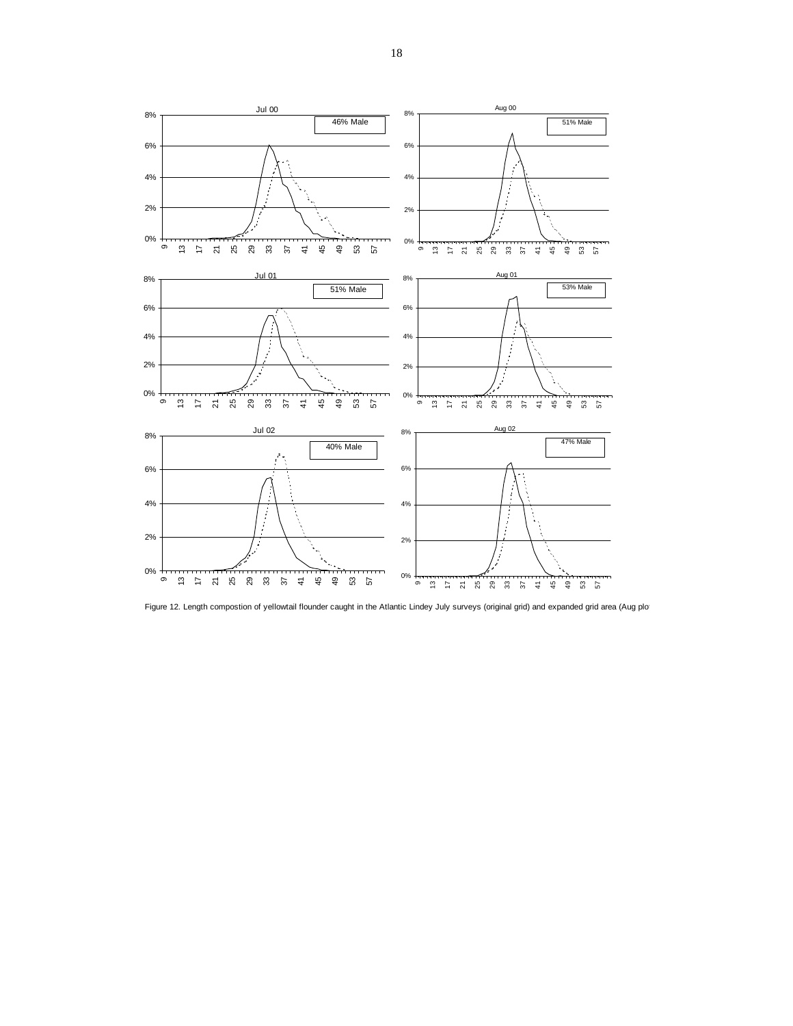

Figure 12. Length compostion of yellowtail flounder caught in the Atlantic Lindey July surveys (original grid) and expanded grid area (Aug plot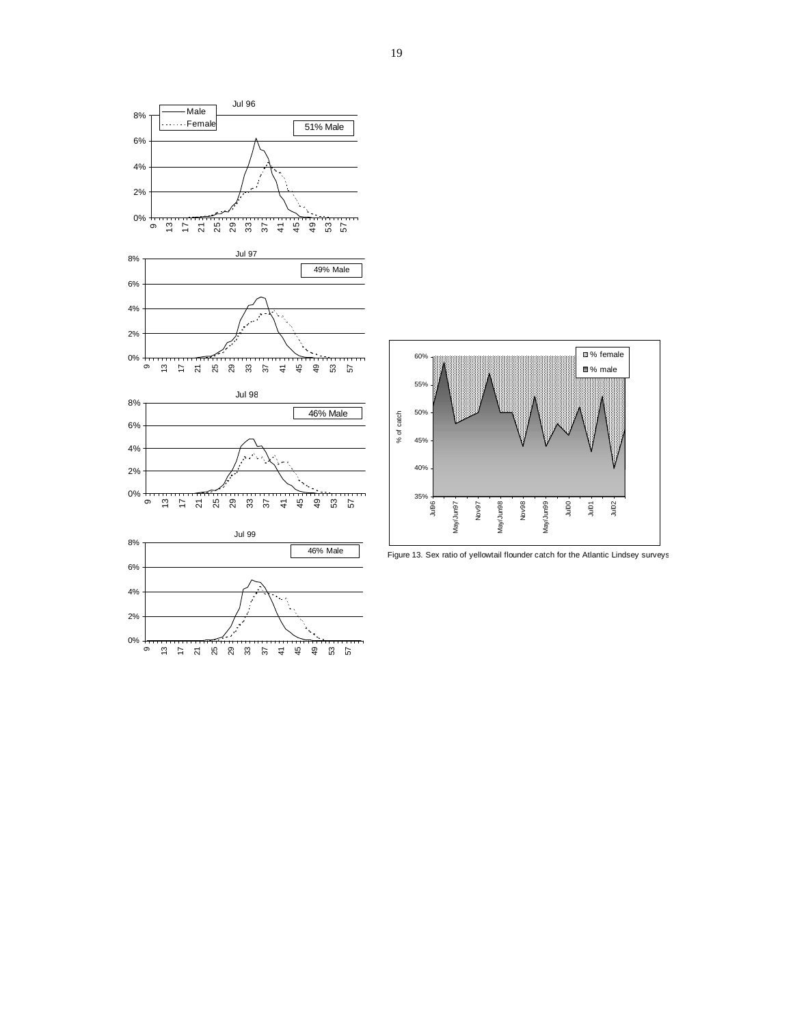